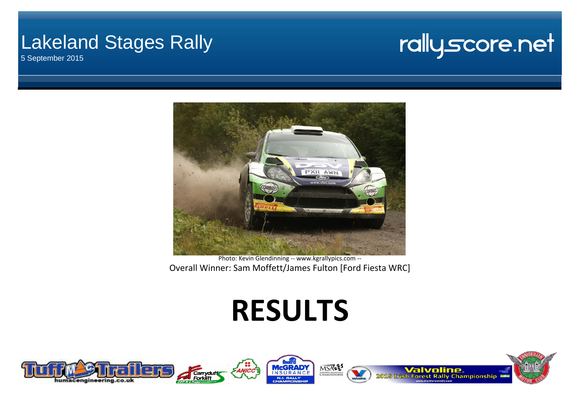## Lakeland Stages Rally

5 September 2015

## rallyscore.net



Photo: Kevin Glendinning -- www.kgrallypics.com -- Overall Winner: Sam Moffett/James Fulton [Ford Fiesta WRC]

# **RESULTS**

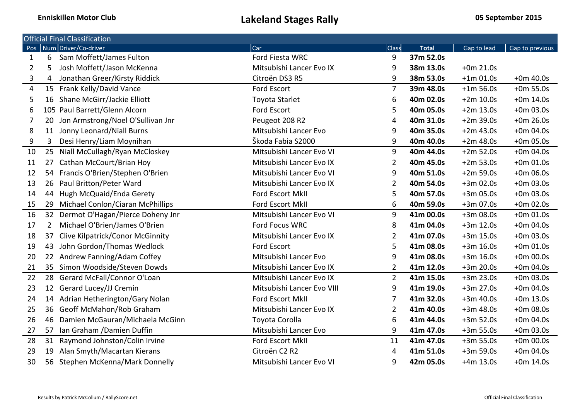|                |                | <b>Official Final Classification</b>    |                            |                |              |             |                 |
|----------------|----------------|-----------------------------------------|----------------------------|----------------|--------------|-------------|-----------------|
|                |                | Pos Num Driver/Co-driver                | Car                        | Class          | <b>Total</b> | Gap to lead | Gap to previous |
| 1              | 6              | Sam Moffett/James Fulton                | Ford Fiesta WRC            | 9              | 37m 52.0s    |             |                 |
| 2              | 5              | Josh Moffett/Jason McKenna              | Mitsubishi Lancer Evo IX   | 9              | 38m 13.0s    | $+0m 21.0s$ |                 |
| 3              | 4              | Jonathan Greer/Kirsty Riddick           | Citroën DS3 R5             | 9              | 38m 53.0s    | $+1m$ 01.0s | $+0m$ 40.0s     |
| 4              |                | 15 Frank Kelly/David Vance              | Ford Escort                | $\overline{7}$ | 39m 48.0s    | $+1m 56.0s$ | $+0m 55.0s$     |
| 5              | 16             | Shane McGirr/Jackie Elliott             | <b>Toyota Starlet</b>      | 6              | 40m 02.0s    | $+2m$ 10.0s | $+0m$ 14.0s     |
| 6              |                | 105 Paul Barrett/Glenn Alcorn           | Ford Escort                | 5              | 40m 05.0s    | $+2m$ 13.0s | $+0m 03.0s$     |
| $\overline{7}$ | 20             | Jon Armstrong/Noel O'Sullivan Jnr       | Peugeot 208 R2             | 4              | 40m 31.0s    | $+2m$ 39.0s | $+0m 26.0s$     |
| 8              |                | 11 Jonny Leonard/Niall Burns            | Mitsubishi Lancer Evo      | 9              | 40m 35.0s    | $+2m$ 43.0s | $+0m 04.0s$     |
| 9              | 3              | Desi Henry/Liam Moynihan                | Škoda Fabia S2000          | 9              | 40m 40.0s    | $+2m 48.0s$ | $+0m 05.0s$     |
| 10             |                | 25 Niall McCullagh/Ryan McCloskey       | Mitsubishi Lancer Evo VI   | 9              | 40m 44.0s    | $+2m 52.0s$ | $+0m 04.0s$     |
| 11             | 27             | Cathan McCourt/Brian Hoy                | Mitsubishi Lancer Evo IX   | $\overline{2}$ | 40m 45.0s    | $+2m 53.0s$ | $+0m 01.0s$     |
| 12             |                | 54 Francis O'Brien/Stephen O'Brien      | Mitsubishi Lancer Evo VI   | 9              | 40m 51.0s    | $+2m 59.0s$ | $+0m 06.0s$     |
| 13             |                | 26 Paul Britton/Peter Ward              | Mitsubishi Lancer Evo IX   | $\overline{2}$ | 40m 54.0s    | $+3m$ 02.0s | $+0m 03.0s$     |
| 14             | 44             | Hugh McQuaid/Enda Gerety                | Ford Escort MkII           | 5              | 40m 57.0s    | $+3m$ 05.0s | $+0m 03.0s$     |
| 15             |                | 29 Michael Conlon/Ciaran McPhillips     | Ford Escort MkII           | 6              | 40m 59.0s    | +3m 07.0s   | $+0m 02.0s$     |
| 16             |                | 32 Dermot O'Hagan/Pierce Doheny Jnr     | Mitsubishi Lancer Evo VI   | 9              | 41m 00.0s    | $+3m08.0s$  | $+0m 01.0s$     |
| 17             | $\overline{2}$ | Michael O'Brien/James O'Brien           | Ford Focus WRC             | 8              | 41m 04.0s    | $+3m$ 12.0s | $+0m 04.0s$     |
| 18             | 37             | <b>Clive Kilpatrick/Conor McGinnity</b> | Mitsubishi Lancer Evo IX   | $\overline{2}$ | 41m 07.0s    | $+3m$ 15.0s | $+0m 03.0s$     |
| 19             | 43             | John Gordon/Thomas Wedlock              | Ford Escort                | 5              | 41m 08.0s    | $+3m$ 16.0s | $+0m 01.0s$     |
| 20             |                | 22 Andrew Fanning/Adam Coffey           | Mitsubishi Lancer Evo      | 9              | 41m 08.0s    | $+3m$ 16.0s | $+0m 00.0s$     |
| 21             | 35             | Simon Woodside/Steven Dowds             | Mitsubishi Lancer Evo IX   | $\overline{2}$ | 41m 12.0s    | $+3m$ 20.0s | $+0m 04.0s$     |
| 22             | 28             | Gerard McFall/Connor O'Loan             | Mitsubishi Lancer Evo IX   | $\overline{2}$ | 41m 15.0s    | $+3m$ 23.0s | $+0m 03.0s$     |
| 23             |                | 12 Gerard Lucey/JJ Cremin               | Mitsubishi Lancer Evo VIII | 9              | 41m 19.0s    | $+3m$ 27.0s | $+0m 04.0s$     |
| 24             |                | 14 Adrian Hetherington/Gary Nolan       | Ford Escort MkII           | 7              | 41m 32.0s    | $+3m 40.0s$ | $+0m$ 13.0s     |
| 25             |                | 36 Geoff McMahon/Rob Graham             | Mitsubishi Lancer Evo IX   | $\overline{2}$ | 41m 40.0s    | $+3m$ 48.0s | $+0m$ 08.0s     |
| 26             |                | 46 Damien McGauran/Michaela McGinn      | Toyota Corolla             | 6              | 41m 44.0s    | $+3m 52.0s$ | $+0m 04.0s$     |
| 27             |                | 57 Ian Graham / Damien Duffin           | Mitsubishi Lancer Evo      | 9              | 41m 47.0s    | $+3m 55.0s$ | $+0m 03.0s$     |
| 28             |                | 31 Raymond Johnston/Colin Irvine        | Ford Escort MkII           | 11             | 41m 47.0s    | $+3m 55.0s$ | $+0m 00.0s$     |
| 29             |                | 19 Alan Smyth/Macartan Kierans          | Citroën C2 R2              | 4              | 41m 51.0s    | $+3m 59.0s$ | $+0m 04.0s$     |
| 30             |                | 56 Stephen McKenna/Mark Donnelly        | Mitsubishi Lancer Evo VI   | 9              | 42m 05.0s    | $+4m$ 13.0s | $+0m$ 14.0s     |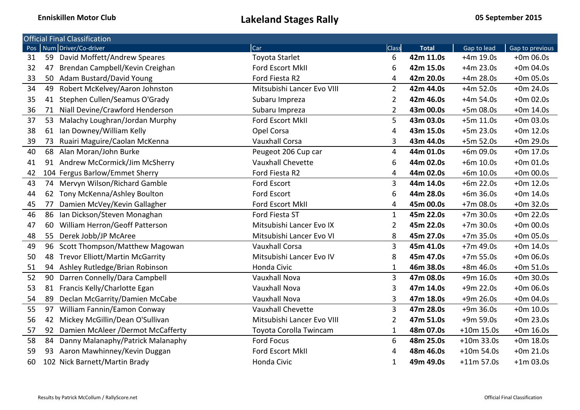|                  |    | <b>Official Final Classification</b>   |                            |                |              |              |                 |
|------------------|----|----------------------------------------|----------------------------|----------------|--------------|--------------|-----------------|
| Pos <sup>1</sup> |    | Num Driver/Co-driver                   | Car                        | <b>Class</b>   | <b>Total</b> | Gap to lead  | Gap to previous |
| 31               | 59 | David Moffett/Andrew Speares           | <b>Toyota Starlet</b>      | 6              | 42m 11.0s    | $+4m$ 19.0s  | $+0m$ 06.0s     |
| 32               | 47 | Brendan Campbell/Kevin Creighan        | Ford Escort MkII           | 6              | 42m 15.0s    | $+4m$ 23.0s  | $+0m 04.0s$     |
| 33               | 50 | Adam Bustard/David Young               | Ford Fiesta R2             | 4              | 42m 20.0s    | $+4m$ 28.0s  | $+0m 05.0s$     |
| 34               | 49 | Robert McKelvey/Aaron Johnston         | Mitsubishi Lancer Evo VIII | $\overline{2}$ | 42m 44.0s    | $+4m 52.0s$  | $+0m$ 24.0s     |
| 35               | 41 | Stephen Cullen/Seamus O'Grady          | Subaru Impreza             | 2              | 42m 46.0s    | $+4m 54.0s$  | $+0m$ 02.0s     |
| 36               | 71 | Niall Devine/Crawford Henderson        | Subaru Impreza             | 2              | 43m 00.0s    | $+5m08.0s$   | $+0m$ 14.0s     |
| 37               | 53 | Malachy Loughran/Jordan Murphy         | Ford Escort MkII           | 5              | 43m 03.0s    | $+5m$ 11.0s  | $+0m 03.0s$     |
| 38               | 61 | Ian Downey/William Kelly               | Opel Corsa                 | 4              | 43m 15.0s    | $+5m$ 23.0s  | $+0m$ 12.0s     |
| 39               | 73 | Ruairi Maguire/Caolan McKenna          | <b>Vauxhall Corsa</b>      | 3              | 43m 44.0s    | $+5m 52.0s$  | $+0m$ 29.0s     |
| 40               | 68 | Alan Moran/John Burke                  | Peugeot 206 Cup car        | 4              | 44m 01.0s    | $+6m$ 09.0s  | $+0m$ 17.0s     |
| 41               | 91 | Andrew McCormick/Jim McSherry          | <b>Vauxhall Chevette</b>   | 6              | 44m 02.0s    | $+6m$ 10.0s  | $+0m 01.0s$     |
| 42               |    | 104 Fergus Barlow/Emmet Sherry         | Ford Fiesta R2             | 4              | 44m 02.0s    | $+6m$ 10.0s  | $+0m$ 00.0s     |
| 43               |    | 74 Mervyn Wilson/Richard Gamble        | <b>Ford Escort</b>         | $\overline{3}$ | 44m 14.0s    | $+6m$ 22.0s  | $+0m$ 12.0s     |
| 44               | 62 | Tony McKenna/Ashley Boulton            | <b>Ford Escort</b>         | 6              | 44m 28.0s    | $+6m$ 36.0s  | $+0m$ 14.0s     |
| 45               | 77 | Damien McVey/Kevin Gallagher           | Ford Escort MkII           | 4              | 45m 00.0s    | $+7m08.0s$   | $+0m$ 32.0s     |
| 46               | 86 | Ian Dickson/Steven Monaghan            | Ford Fiesta ST             | $\mathbf{1}$   | 45m 22.0s    | $+7m$ 30.0s  | $+0m$ 22.0s     |
| 47               | 60 | William Herron/Geoff Patterson         | Mitsubishi Lancer Evo IX   | $\overline{2}$ | 45m 22.0s    | $+7m$ 30.0s  | $+0m$ 00.0s     |
| 48               | 55 | Derek Jobb/JP McAree                   | Mitsubishi Lancer Evo VI   | 8              | 45m 27.0s    | $+7m$ 35.0s  | $+0m$ 05.0s     |
| 49               | 96 | Scott Thompson/Matthew Magowan         | <b>Vauxhall Corsa</b>      | 3              | 45m 41.0s    | $+7m$ 49.0s  | $+0m$ 14.0s     |
| 50               | 48 | <b>Trevor Elliott/Martin McGarrity</b> | Mitsubishi Lancer Evo IV   | 8              | 45m 47.0s    | $+7m 55.0s$  | $+0m06.0s$      |
| 51               | 94 | Ashley Rutledge/Brian Robinson         | Honda Civic                | 1              | 46m 38.0s    | $+8m46.0s$   | $+0m 51.0s$     |
| 52               | 90 | Darren Connelly/Dara Campbell          | <b>Vauxhall Nova</b>       | 3              | 47m 08.0s    | $+9m$ 16.0s  | $+0m$ 30.0s     |
| 53               | 81 | Francis Kelly/Charlotte Egan           | <b>Vauxhall Nova</b>       | 3              | 47m 14.0s    | $+9m$ 22.0s  | $+0m$ 06.0s     |
| 54               | 89 | Declan McGarrity/Damien McCabe         | <b>Vauxhall Nova</b>       | 3              | 47m 18.0s    | $+9m$ 26.0s  | $+0m 04.0s$     |
| 55               | 97 | William Fannin/Eamon Conway            | <b>Vauxhall Chevette</b>   | 3              | 47m 28.0s    | $+9m36.0s$   | $+0m$ 10.0s     |
| 56               | 42 | Mickey McGillin/Dean O'Sullivan        | Mitsubishi Lancer Evo VIII | $\overline{2}$ | 47m 51.0s    | $+9m 59.0s$  | $+0m$ 23.0s     |
| 57               | 92 | Damien McAleer / Dermot McCafferty     | Toyota Corolla Twincam     | $\mathbf{1}$   | 48m 07.0s    | $+10m$ 15.0s | $+0m 16.0s$     |
| 58               | 84 | Danny Malanaphy/Patrick Malanaphy      | <b>Ford Focus</b>          | 6              | 48m 25.0s    | $+10m$ 33.0s | $+0m$ 18.0s     |
| 59               | 93 | Aaron Mawhinney/Kevin Duggan           | Ford Escort MkII           | 4              | 48m 46.0s    | $+10m 54.0s$ | $+0m 21.0s$     |
| 60               |    | 102 Nick Barnett/Martin Brady          | Honda Civic                | 1              | 49m 49.0s    | $+11m 57.0s$ | $+1m$ 03.0s     |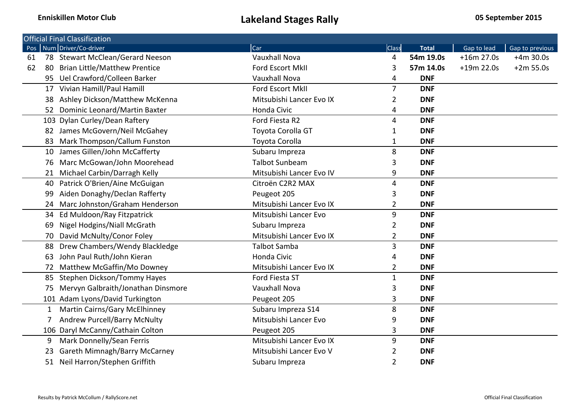|     | <b>Official Final Classification</b> |                          |                |              |              |                 |
|-----|--------------------------------------|--------------------------|----------------|--------------|--------------|-----------------|
| Pos | Num Driver/Co-driver                 | Car                      | <b>Class</b>   | <b>Total</b> | Gap to lead  | Gap to previous |
| 61  | 78 Stewart McClean/Gerard Neeson     | <b>Vauxhall Nova</b>     | 4              | 54m 19.0s    | $+16m 27.0s$ | $+4m$ 30.0s     |
| 62  | 80 Brian Little/Matthew Prentice     | Ford Escort MkII         | 3              | 57m 14.0s    | $+19m 22.0s$ | $+2m 55.0s$     |
|     | 95 Uel Crawford/Colleen Barker       | <b>Vauxhall Nova</b>     | 4              | <b>DNF</b>   |              |                 |
|     | 17 Vivian Hamill/Paul Hamill         | Ford Escort MkII         | $\overline{7}$ | <b>DNF</b>   |              |                 |
| 38  | Ashley Dickson/Matthew McKenna       | Mitsubishi Lancer Evo IX | 2              | <b>DNF</b>   |              |                 |
|     | 52 Dominic Leonard/Martin Baxter     | Honda Civic              | 4              | <b>DNF</b>   |              |                 |
|     | 103 Dylan Curley/Dean Raftery        | Ford Fiesta R2           | 4              | <b>DNF</b>   |              |                 |
|     | 82 James McGovern/Neil McGahey       | Toyota Corolla GT        | 1              | <b>DNF</b>   |              |                 |
| 83  | Mark Thompson/Callum Funston         | Toyota Corolla           | 1              | <b>DNF</b>   |              |                 |
| 10  | James Gillen/John McCafferty         | Subaru Impreza           | 8              | <b>DNF</b>   |              |                 |
| 76  | Marc McGowan/John Moorehead          | <b>Talbot Sunbeam</b>    | 3              | <b>DNF</b>   |              |                 |
|     | Michael Carbin/Darragh Kelly         | Mitsubishi Lancer Evo IV | 9              | <b>DNF</b>   |              |                 |
| 40  | Patrick O'Brien/Aine McGuigan        | Citroën C2R2 MAX         | 4              | <b>DNF</b>   |              |                 |
| 99  | Aiden Donaghy/Declan Rafferty        | Peugeot 205              | 3              | <b>DNF</b>   |              |                 |
| 24  | Marc Johnston/Graham Henderson       | Mitsubishi Lancer Evo IX | 2              | <b>DNF</b>   |              |                 |
|     | 34 Ed Muldoon/Ray Fitzpatrick        | Mitsubishi Lancer Evo    | 9              | <b>DNF</b>   |              |                 |
| 69  | Nigel Hodgins/Niall McGrath          | Subaru Impreza           | 2              | <b>DNF</b>   |              |                 |
| 70  | David McNulty/Conor Foley            | Mitsubishi Lancer Evo IX | 2              | <b>DNF</b>   |              |                 |
| 88  | Drew Chambers/Wendy Blackledge       | <b>Talbot Samba</b>      | 3              | <b>DNF</b>   |              |                 |
| 63  | John Paul Ruth/John Kieran           | Honda Civic              | 4              | <b>DNF</b>   |              |                 |
| 72  | Matthew McGaffin/Mo Downey           | Mitsubishi Lancer Evo IX | 2              | <b>DNF</b>   |              |                 |
| 85  | Stephen Dickson/Tommy Hayes          | Ford Fiesta ST           | $\mathbf{1}$   | <b>DNF</b>   |              |                 |
| 75  | Mervyn Galbraith/Jonathan Dinsmore   | <b>Vauxhall Nova</b>     | 3              | <b>DNF</b>   |              |                 |
|     | 101 Adam Lyons/David Turkington      | Peugeot 205              | 3              | <b>DNF</b>   |              |                 |
|     | <b>Martin Cairns/Gary McElhinney</b> | Subaru Impreza S14       | 8              | <b>DNF</b>   |              |                 |
|     | <b>Andrew Purcell/Barry McNulty</b>  | Mitsubishi Lancer Evo    | 9              | <b>DNF</b>   |              |                 |
|     | 106 Daryl McCanny/Cathain Colton     | Peugeot 205              | 3              | <b>DNF</b>   |              |                 |
| 9   | Mark Donnelly/Sean Ferris            | Mitsubishi Lancer Evo IX | 9              | <b>DNF</b>   |              |                 |
| 23  | Gareth Mimnagh/Barry McCarney        | Mitsubishi Lancer Evo V  | 2              | <b>DNF</b>   |              |                 |
|     | 51 Neil Harron/Stephen Griffith      | Subaru Impreza           | $\overline{2}$ | <b>DNF</b>   |              |                 |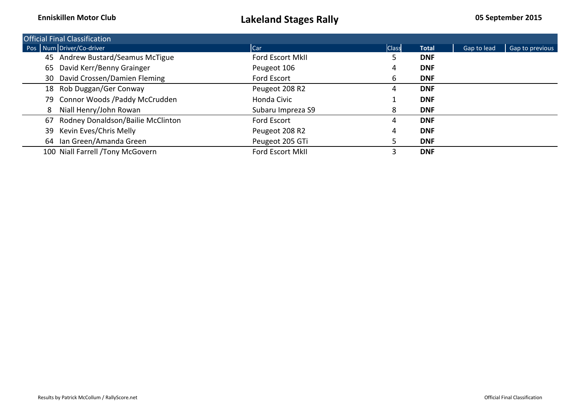|    | <b>Official Final Classification</b> |                   |              |              |             |                 |
|----|--------------------------------------|-------------------|--------------|--------------|-------------|-----------------|
|    | Pos Num Driver/Co-driver             | <b>I</b> Car      | <b>Class</b> | <b>Total</b> | Gap to lead | Gap to previous |
|    | 45 Andrew Bustard/Seamus McTigue     | Ford Escort MkII  |              | <b>DNF</b>   |             |                 |
| 65 | David Kerr/Benny Grainger            | Peugeot 106       | 4            | <b>DNF</b>   |             |                 |
|    | 30 David Crossen/Damien Fleming      | Ford Escort       | 6            | <b>DNF</b>   |             |                 |
|    | 18 Rob Duggan/Ger Conway             | Peugeot 208 R2    | 4            | <b>DNF</b>   |             |                 |
|    | 79 Connor Woods / Paddy McCrudden    | Honda Civic       |              | <b>DNF</b>   |             |                 |
| 8  | Niall Henry/John Rowan               | Subaru Impreza S9 | 8            | <b>DNF</b>   |             |                 |
| 67 | Rodney Donaldson/Bailie McClinton    | Ford Escort       | 4            | <b>DNF</b>   |             |                 |
| 39 | Kevin Eves/Chris Melly               | Peugeot 208 R2    | 4            | <b>DNF</b>   |             |                 |
|    | 64 Ian Green/Amanda Green            | Peugeot 205 GTi   |              | <b>DNF</b>   |             |                 |
|    | 100 Niall Farrell /Tony McGovern     | Ford Escort MkII  | 3            | <b>DNF</b>   |             |                 |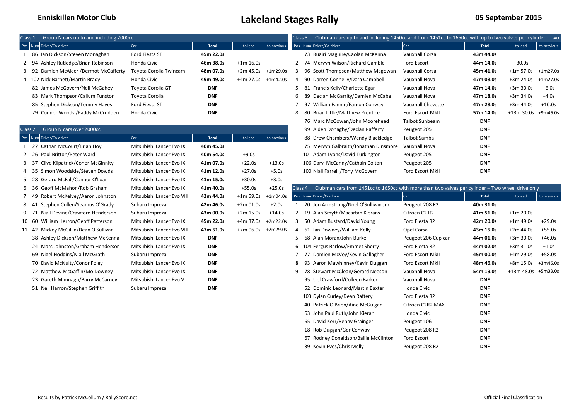| Class 1                                 | Group N cars up to and including 2000cc |              |                      |             |  |                                     | Clubman cars up to and including 1450cc and from 1451cc to 1650cc with up to two valves per cylinder - Two |              |                       |             |
|-----------------------------------------|-----------------------------------------|--------------|----------------------|-------------|--|-------------------------------------|------------------------------------------------------------------------------------------------------------|--------------|-----------------------|-------------|
| Pos Num Driver/Co-driver                | Car                                     | <b>Total</b> | to lead              | to previous |  | Pos Num Driver/Co-driver            | Car                                                                                                        | <b>Total</b> | to lead               | to previous |
| 86 Ian Dickson/Steven Monaghan          | Ford Fiesta ST                          | 45m 22.0s    |                      |             |  | 73 Ruairi Maguire/Caolan McKenna    | Vauxhall Corsa                                                                                             | 43m 44.0s    |                       |             |
| 2 94 Ashley Rutledge/Brian Robinson     | Honda Civic                             | 46m 38.0s    | $+1m 16.0s$          |             |  | 74 Mervyn Wilson/Richard Gamble     | Ford Escort                                                                                                | 44m 14.0s    | $+30.0s$              |             |
| 3 92 Damien McAleer / Dermot McCafferty | Toyota Corolla Twincam                  | 48m 07.0s    | $+2m 45.0s +1m29.0s$ |             |  | 96 Scott Thompson/Matthew Magowan   | Vauxhall Corsa                                                                                             | 45m 41.0s    | $+1m$ 57.0s           | $+1m27.0s$  |
| 102 Nick Barnett/Martin Brady           | Honda Civic                             | 49m 49.0s    | $+4m 27.0s +1m42.0s$ |             |  | 90 Darren Connelly/Dara Campbell    | Vauxhall Nova                                                                                              | 47m 08.0s    | $+3m 24.0s +1m27.0s$  |             |
| 82 James McGovern/Neil McGahey          | Toyota Corolla GT                       | <b>DNF</b>   |                      |             |  | 81 Francis Kelly/Charlotte Egan     | Vauxhall Nova                                                                                              | 47m 14.0s    | $+3m$ 30.0s           | $+6.0s$     |
| 83 Mark Thompson/Callum Funston         | Toyota Corolla                          | <b>DNF</b>   |                      |             |  | 6 89 Declan McGarrity/Damien McCabe | Vauxhall Nova                                                                                              | 47m 18.0s    | $+3m$ 34.0s           | $+4.0s$     |
| 85 Stephen Dickson/Tommy Hayes          | Ford Fiesta ST                          | <b>DNF</b>   |                      |             |  | 97 William Fannin/Eamon Conway      | Vauxhall Chevette                                                                                          | 47m 28.0s    | $+3m$ 44.0s           | $+10.0s$    |
| 79 Connor Woods / Paddy McCrudden       | Honda Civic                             | <b>DNF</b>   |                      |             |  | 8 80 Brian Little/Matthew Prentice  | Ford Escort MkII                                                                                           | 57m 14.0s    | $+13m 30.0s +9m46.0s$ |             |

| Class 2 |       | Group N cars over 2000cc          |                            |            |             |             |                    | 99 Aiden Donaghy/Declan Rafferty                                                                 | Peugeot 205         | <b>DNF</b>   |                    |             |
|---------|-------|-----------------------------------|----------------------------|------------|-------------|-------------|--------------------|--------------------------------------------------------------------------------------------------|---------------------|--------------|--------------------|-------------|
|         |       | Pos Num Driver/Co-driver          | <b>Car</b>                 | Total      | to lead     | to previous |                    | 88 Drew Chambers/Wendy Blackledge                                                                | Talbot Samba        | <b>DNF</b>   |                    |             |
|         | 1 27  | Cathan McCourt/Brian Hoy          | Mitsubishi Lancer Evo IX   | 40m 45.0s  |             |             |                    | 75 Mervyn Galbraith/Jonathan Dinsmore                                                            | Vauxhall Nova       | <b>DNF</b>   |                    |             |
|         | 2 26  | Paul Britton/Peter Ward           | Mitsubishi Lancer Evo IX   | 40m 54.0s  | $+9.0s$     |             |                    | 101 Adam Lyons/David Turkington                                                                  | Peugeot 205         | <b>DNF</b>   |                    |             |
|         | 3 37  | Clive Kilpatrick/Conor McGinnity  | Mitsubishi Lancer Evo IX   | 41m 07.0s  | $+22.0s$    | $+13.0s$    |                    | 106 Daryl McCanny/Cathain Colton                                                                 | Peugeot 205         | <b>DNF</b>   |                    |             |
|         | 4 35  | Simon Woodside/Steven Dowds       | Mitsubishi Lancer Evo IX   | 41m 12.0s  | $+27.0s$    | $+5.0s$     |                    | 100 Niall Farrell /Tony McGovern                                                                 | Ford Escort MkII    | <b>DNF</b>   |                    |             |
|         | 5 28  | Gerard McFall/Connor O'Loan       | Mitsubishi Lancer Evo IX   | 41m 15.0s  | $+30.0s$    | $+3.0s$     |                    |                                                                                                  |                     |              |                    |             |
|         | 6 36  | Geoff McMahon/Rob Graham          | Mitsubishi Lancer Evo IX   | 41m 40.0s  | $+55.0s$    | $+25.0s$    | Class <sub>4</sub> | Clubman cars from 1451cc to 1650cc with more than two valves per cylinder - Two wheel drive only |                     |              |                    |             |
|         | 7 49  | Robert McKelvey/Aaron Johnston    | Mitsubishi Lancer Evo VIII | 42m 44.0s  | $+1m 59.0s$ | $+1m04.0s$  |                    | Pos Num Driver/Co-driver                                                                         | Car                 | <b>Total</b> | to lead            | to previous |
|         | 8 41  | Stephen Cullen/Seamus O'Grady     | Subaru Impreza             | 42m 46.0s  | $+2m 01.0s$ | $+2.0s$     |                    | 20 Jon Armstrong/Noel O'Sullivan Jnr                                                             | Peugeot 208 R2      | 40m 31.0s    |                    |             |
|         | 9 71  | Niall Devine/Crawford Henderson   | Subaru Impreza             | 43m 00.0s  | $+2m 15.0s$ | $+14.0s$    |                    | 2 19 Alan Smyth/Macartan Kierans                                                                 | Citroën C2 R2       | 41m 51.0s    | $+1m 20.0s$        |             |
| 10 60   |       | William Herron/Geoff Patterson    | Mitsubishi Lancer Evo IX   | 45m 22.0s  | $+4m$ 37.0s | $+2m22.0s$  |                    | 50 Adam Bustard/David Young                                                                      | Ford Fiesta R2      | 42m 20.0s    | $+1m$ 49.0s        | $+29.0s$    |
|         | 11 42 | Mickey McGillin/Dean O'Sullivan   | Mitsubishi Lancer Evo VIII | 47m 51.0s  | +7m 06.0s   | +2m29.0s    |                    | 61 Ian Downey/William Kelly                                                                      | Opel Corsa          | 43m 15.0s    | $+2m$ 44.0s        | $+55.0s$    |
|         |       | 38 Ashley Dickson/Matthew McKenna | Mitsubishi Lancer Evo IX   | <b>DNF</b> |             |             |                    | Alan Moran/John Burke<br>- 68                                                                    | Peugeot 206 Cup car | 44m 01.0s    | $+3m$ 30.0s        | $+46.0s$    |
|         |       | 24 Marc Johnston/Graham Henderson | Mitsubishi Lancer Evo IX   | <b>DNF</b> |             |             |                    | 6 104 Fergus Barlow/Emmet Sherry                                                                 | Ford Fiesta R2      | 44m 02.0s    | $+3m 31.0s$        | $+1.0s$     |
|         |       | 69 Nigel Hodgins/Niall McGrath    | Subaru Impreza             | <b>DNF</b> |             |             |                    | Damien McVey/Kevin Gallagher                                                                     | Ford Escort MkII    | 45m 00.0s    | +4m 29.0s          | +58.0s      |
|         |       | 70 David McNulty/Conor Foley      | Mitsubishi Lancer Evo IX   | <b>DNF</b> |             |             | 8                  | Aaron Mawhinney/Kevin Duggan<br>-93                                                              | Ford Escort MkII    | 48m 46.0s    | +8m 15.0s          | $+3m46.0$   |
|         |       | 72 Matthew McGaffin/Mo Downey     | Mitsubishi Lancer Evo IX   | <b>DNF</b> |             |             | q                  | <b>Stewart McClean/Gerard Neeson</b>                                                             | Vauxhall Nova       | 54m 19.0s    | +13m 48.0s +5m33.0 |             |
|         |       | 23 Gareth Mimnagh/Barry McCarney  | Mitsubishi Lancer Evo V    | <b>DNF</b> |             |             |                    | 95 Uel Crawford/Colleen Barker                                                                   | Vauxhall Nova       | <b>DNF</b>   |                    |             |
|         |       | 51 Neil Harron/Stephen Griffith   | Subaru Impreza             | <b>DNF</b> |             |             |                    | 52 Dominic Leonard/Martin Baxter                                                                 | Honda Civic         | <b>DNF</b>   |                    |             |
|         |       |                                   |                            |            |             |             |                    |                                                                                                  |                     |              |                    |             |

| Group N cars up to and including 2000cc |                          |            |                      |             | Class 3 | Clubman cars up to and including 1450cc and from 1451cc to 1650cc with up to two valves per cylinder - Two |                       |            |                       |             |
|-----------------------------------------|--------------------------|------------|----------------------|-------------|---------|------------------------------------------------------------------------------------------------------------|-----------------------|------------|-----------------------|-------------|
| Jum Driver/Co-driver                    | Car                      | Total      | to lead              | to previous |         | Pos Num Driver/Co-driver                                                                                   | Car                   | Total      | to lead               | to previous |
| 86 Ian Dickson/Steven Monaghan          | Ford Fiesta ST           | 45m 22.0s  |                      |             |         | 73 Ruairi Maguire/Caolan McKenna                                                                           | <b>Vauxhall Corsa</b> | 43m 44.0s  |                       |             |
| 94 Ashley Rutledge/Brian Robinson       | Honda Civic              | 46m 38.0s  | $+1m 16.0s$          |             |         | 74 Mervyn Wilson/Richard Gamble                                                                            | Ford Escort           | 44m 14.0s  | $+30.0s$              |             |
| 92 Damien McAleer /Dermot McCafferty    | Toyota Corolla Twincam   | 48m 07.0s  | +2m 45.0s            | $+1m29.0s$  | 3       | 96 Scott Thompson/Matthew Magowan                                                                          | Vauxhall Corsa        | 45m 41.0s  | $+1m 57.0s$           | +1m27.0s    |
| LO2 Nick Barnett/Martin Brady           | Honda Civic              | 49m 49.0s  | $+4m 27.0s +1m42.0s$ |             | 4       | 90 Darren Connelly/Dara Campbell                                                                           | Vauxhall Nova         | 47m 08.0s  | +3m 24.0s             | $+1m27.0s$  |
| 82 James McGovern/Neil McGahey          | Toyota Corolla GT        | <b>DNF</b> |                      |             | 5.      | 81 Francis Kelly/Charlotte Egan                                                                            | Vauxhall Nova         | 47m 14.0s  | $+3m30.0s$            | $+6.0s$     |
| 83 Mark Thompson/Callum Funston         | Toyota Corolla           | <b>DNF</b> |                      |             | 6       | 89 Declan McGarrity/Damien McCabe                                                                          | Vauxhall Nova         | 47m 18.0s  | $+3m34.0s$            | $+4.0s$     |
| 85 Stephen Dickson/Tommy Hayes          | Ford Fiesta ST           | <b>DNF</b> |                      |             |         | 97 William Fannin/Eamon Conway                                                                             | Vauxhall Chevette     | 47m 28.0s  | +3m 44.0s             | +10.0s      |
| 79 Connor Woods /Paddy McCrudden        | Honda Civic              | <b>DNF</b> |                      |             | 8       | 80 Brian Little/Matthew Prentice                                                                           | Ford Escort MkII      | 57m 14.0s  | $+13m 30.0s +9m46.0s$ |             |
|                                         |                          |            |                      |             |         | 76 Marc McGowan/John Moorehead                                                                             | Talbot Sunbeam        | <b>DNF</b> |                       |             |
| Group N cars over 2000cc                |                          |            |                      |             |         | 99 Aiden Donaghy/Declan Rafferty                                                                           | Peugeot 205           | <b>DNF</b> |                       |             |
| Jum Driver/Co-driver                    | Car                      | Total      | to lead              | to previous |         | 88 Drew Chambers/Wendy Blackledge                                                                          | Talbot Samba          | <b>DNF</b> |                       |             |
| 27 Cathan McCourt/Brian Hoy             | Mitsubishi Lancer Evo IX | 40m 45.0s  |                      |             |         | 75 Mervyn Galbraith/Jonathan Dinsmore                                                                      | Vauxhall Nova         | <b>DNF</b> |                       |             |
| 26 Paul Britton/Peter Ward              | Mitsubishi Lancer Evo IX | 40m 54.0s  | $+9.0s$              |             |         | 101 Adam Lyons/David Turkington                                                                            | Peugeot 205           | <b>DNF</b> |                       |             |
| 37 Clive Kilpatrick/Conor McGinnity     | Mitsubishi Lancer Evo IX | 41m 07.0s  | $+22.0s$             | $+13.0s$    |         | 106 Daryl McCanny/Cathain Colton                                                                           | Peugeot 205           | <b>DNF</b> |                       |             |
| 35 Simon Woodside/Steven Dowds          | Mitsubishi Lancer Evo IX | 41m 12.0s  | $+27.0s$             | $+5.0s$     |         | 100 Niall Farrell /Tony McGovern                                                                           | Ford Escort MkII      | <b>DNF</b> |                       |             |

| 36 Geoff McMahon/Rob Graham        | Mitsubishi Lancer Evo IX   | 41m 40.0s  | +55.0s      | $+25.0s$ | Class <sub>4</sub> | Clubman cars from 1451cc to 1650cc with more than two valves per cylinder - Two wheel drive only |                     |            |                       |             |
|------------------------------------|----------------------------|------------|-------------|----------|--------------------|--------------------------------------------------------------------------------------------------|---------------------|------------|-----------------------|-------------|
| 49 Robert McKelvey/Aaron Johnston  | Mitsubishi Lancer Evo VIII | 42m 44.0s  | +1m 59.0s   | +1m04.0s |                    | Pos Num Driver/Co-driver                                                                         | Car                 | Total      | to lead               | to previous |
| 41 Stephen Cullen/Seamus O'Grady   | Subaru Impreza             | 42m 46.0s  | $+2m 01.0s$ | $+2.0s$  |                    | 20 Jon Armstrong/Noel O'Sullivan Jnr                                                             | Peugeot 208 R2      | 40m 31.0s  |                       |             |
| 71 Niall Devine/Crawford Henderson | Subaru Impreza             | 43m 00.0s  | $+2m 15.0s$ | $+14.0s$ |                    | 2 19 Alan Smyth/Macartan Kierans                                                                 | Citroën C2 R2       | 41m 51.0s  | $+1m 20.0s$           |             |
| 60 William Herron/Geoff Patterson  | Mitsubishi Lancer Evo IX   | 45m 22.0s  | +4m 37.0s   | +2m22.0s |                    | 50 Adam Bustard/David Young                                                                      | Ford Fiesta R2      | 42m 20.0s  | $+1m$ 49.0s           | +29.0s      |
| 42 Mickey McGillin/Dean O'Sullivan | Mitsubishi Lancer Evo VIII | 47m 51.0s  | +7m 06.0s   | +2m29.0s |                    | 61 Ian Downey/William Kelly                                                                      | Opel Corsa          | 43m 15.0s  | $+2m$ 44.0s           | $+55.0s$    |
| 38 Ashley Dickson/Matthew McKenna  | Mitsubishi Lancer Evo IX   | <b>DNF</b> |             |          | 5                  | 68 Alan Moran/John Burke                                                                         | Peugeot 206 Cup car | 44m 01.0s  | $+3m30.0s$            | +46.0s      |
| 24 Marc Johnston/Graham Henderson  | Mitsubishi Lancer Evo IX   | <b>DNF</b> |             |          | 6                  | 104 Fergus Barlow/Emmet Sherry                                                                   | Ford Fiesta R2      | 44m 02.0s  | $+3m31.0s$            | $+1.0s$     |
| 69 Nigel Hodgins/Niall McGrath     | Subaru Impreza             | <b>DNF</b> |             |          |                    | 77 Damien McVey/Kevin Gallagher                                                                  | Ford Escort MkII    | 45m 00.0s  | +4m 29.0s             | +58.0s      |
| 70 David McNulty/Conor Foley       | Mitsubishi Lancer Evo IX   | <b>DNF</b> |             |          | 8                  | 93 Aaron Mawhinney/Kevin Duggan                                                                  | Ford Escort MkII    | 48m 46.0s  | +8m 15.0s             | $+3m46.0s$  |
| 72 Matthew McGaffin/Mo Downey      | Mitsubishi Lancer Evo IX   | <b>DNF</b> |             |          | q                  | 78 Stewart McClean/Gerard Neeson                                                                 | Vauxhall Nova       | 54m 19.0s  | $+13m 48.0s +5m33.0s$ |             |
| 23 Gareth Mimnagh/Barry McCarney   | Mitsubishi Lancer Evo V    | <b>DNF</b> |             |          |                    | 95 Uel Crawford/Colleen Barker                                                                   | Vauxhall Nova       | <b>DNF</b> |                       |             |
| 51 Neil Harron/Stephen Griffith    | Subaru Impreza             | <b>DNF</b> |             |          |                    | 52 Dominic Leonard/Martin Baxter                                                                 | Honda Civic         | <b>DNF</b> |                       |             |
|                                    |                            |            |             |          |                    | 103 Dylan Curley/Dean Raftery                                                                    | Ford Fiesta R2      | <b>DNF</b> |                       |             |
|                                    |                            |            |             |          |                    | 40 Patrick O'Brien/Aine McGuigan                                                                 | Citroën C2R2 MAX    | <b>DNF</b> |                       |             |
|                                    |                            |            |             |          |                    | 63 John Paul Ruth/John Kieran                                                                    | Honda Civic         | <b>DNF</b> |                       |             |
|                                    |                            |            |             |          |                    | 65 David Kerr/Benny Grainger                                                                     | Peugeot 106         | <b>DNF</b> |                       |             |
|                                    |                            |            |             |          |                    | 18 Rob Duggan/Ger Conway                                                                         | Peugeot 208 R2      | <b>DNF</b> |                       |             |
|                                    |                            |            |             |          |                    | 67 Rodney Donaldson/Bailie McClinton                                                             | Ford Escort         | <b>DNF</b> |                       |             |
|                                    |                            |            |             |          |                    | 39 Kevin Eves/Chris Melly                                                                        | Peugeot 208 R2      | <b>DNF</b> |                       |             |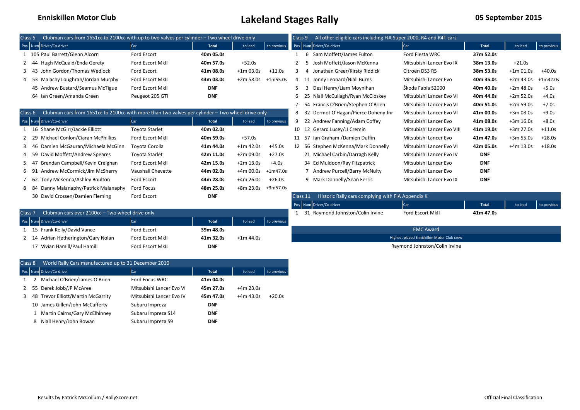| Clubman cars from 1651cc to 2100cc with up to two valves per cylinder - Two wheel drive only<br>Class <sub>5</sub> |                                                                                                  |                       |              |             |             | All other eligible cars including FIA Super 2000, R4 and R4T cars<br>Class <sub>9</sub> |          |                                                   |                            |            |             |             |  |  |
|--------------------------------------------------------------------------------------------------------------------|--------------------------------------------------------------------------------------------------|-----------------------|--------------|-------------|-------------|-----------------------------------------------------------------------------------------|----------|---------------------------------------------------|----------------------------|------------|-------------|-------------|--|--|
|                                                                                                                    | Pos Num Driver/Co-driver                                                                         | Car                   | <b>Total</b> | to lead     | to previous |                                                                                         |          | Pos Num Driver/Co-driver                          | Car                        | Total      | to lead     | to previous |  |  |
|                                                                                                                    | 1 105 Paul Barrett/Glenn Alcorn                                                                  | Ford Escort           | 40m 05.0s    |             |             |                                                                                         |          | 6 Sam Moffett/James Fulton                        | Ford Fiesta WRC            | 37m 52.0s  |             |             |  |  |
|                                                                                                                    | Hugh McQuaid/Enda Gerety                                                                         | Ford Escort MkII      | 40m 57.0s    | $+52.0s$    |             | 2                                                                                       |          | Josh Moffett/Jason McKenna                        | Mitsubishi Lancer Evo IX   | 38m 13.0s  | $+21.0s$    |             |  |  |
|                                                                                                                    | John Gordon/Thomas Wedlock<br>-43                                                                | Ford Escort           | 41m 08.0s    | $+1m$ 03.0s | $+11.0s$    | 3                                                                                       | 4        | Jonathan Greer/Kirsty Riddick                     | Citroën DS3 R5             | 38m 53.0s  | $+1m$ 01.0s | +40.0s      |  |  |
|                                                                                                                    | Malachy Loughran/Jordan Murphy<br>- 53                                                           | Ford Escort MkII      | 43m 03.0s    | +2m 58.0s   | +1m55.0s    | 4                                                                                       | - 11     | Jonny Leonard/Niall Burns                         | Mitsubishi Lancer Evo      | 40m 35.0s  | +2m 43.0s   | $+1m42.0s$  |  |  |
|                                                                                                                    | 45 Andrew Bustard/Seamus McTigue                                                                 | Ford Escort MkII      | <b>DNF</b>   |             |             | 5                                                                                       | 3        | Desi Henry/Liam Moynihan                          | Škoda Fabia S2000          | 40m 40.0s  | $+2m 48.0s$ | $+5.0s$     |  |  |
|                                                                                                                    | 64 Ian Green/Amanda Green                                                                        | Peugeot 205 GTi       | <b>DNF</b>   |             |             | 6                                                                                       | -25      | Niall McCullagh/Ryan McCloskey                    | Mitsubishi Lancer Evo VI   | 40m 44.0s  | $+2m 52.0s$ | $+4.0s$     |  |  |
|                                                                                                                    |                                                                                                  |                       |              |             |             |                                                                                         | 54       | Francis O'Brien/Stephen O'Brien                   | Mitsubishi Lancer Evo VI   | 40m 51.0s  | $+2m 59.0s$ | $+7.0s$     |  |  |
| Class 6                                                                                                            | Clubman cars from 1651cc to 2100cc with more than two valves per cylinder - Two wheel drive only |                       |              |             |             | 8                                                                                       | - 32     | Dermot O'Hagan/Pierce Doheny Jnr                  | Mitsubishi Lancer Evo VI   | 41m 00.0s  | $+3m08.0s$  | $+9.0s$     |  |  |
|                                                                                                                    | Pos Num Driver/Co-driver                                                                         | Car                   | <b>Total</b> | to lead     | to previous | 9                                                                                       | -22      | Andrew Fanning/Adam Coffey                        | Mitsubishi Lancer Evo      | 41m 08.0s  | $+3m 16.0s$ | $+8.0s$     |  |  |
|                                                                                                                    | Shane McGirr/Jackie Elliott<br>16                                                                | <b>Toyota Starlet</b> | 40m 02.0s    |             |             |                                                                                         | 12       | Gerard Lucey/JJ Cremin                            | Mitsubishi Lancer Evo VIII | 41m 19.0s  | $+3m$ 27.0s | $+11.0s$    |  |  |
| 2 29                                                                                                               | Michael Conlon/Ciaran McPhillips                                                                 | Ford Escort MkII      | 40m 59.0s    | $+57.0s$    |             | 11                                                                                      | -57      | Ian Graham /Damien Duffin                         | Mitsubishi Lancer Evo      | 41m 47.0s  | $+3m 55.0s$ | $+28.0s$    |  |  |
| 3 46                                                                                                               | Damien McGauran/Michaela McGinn                                                                  | Toyota Corolla        | 41m 44.0s    | $+1m$ 42.0s | $+45.0s$    |                                                                                         |          | 12 56 Stephen McKenna/Mark Donnelly               | Mitsubishi Lancer Evo VI   | 42m 05.0s  | $+4m$ 13.0s | $+18.0s$    |  |  |
|                                                                                                                    | David Moffett/Andrew Speares                                                                     | <b>Toyota Starlet</b> | 42m 11.0s    | $+2m09.0s$  | $+27.0s$    |                                                                                         |          | 21 Michael Carbin/Darragh Kelly                   | Mitsubishi Lancer Evo IV   | <b>DNF</b> |             |             |  |  |
|                                                                                                                    | Brendan Campbell/Kevin Creighan                                                                  | Ford Escort MkII      | 42m 15.0s    | $+2m$ 13.0s | $+4.0s$     |                                                                                         |          | 34 Ed Muldoon/Ray Fitzpatrick                     | Mitsubishi Lancer Evo      | <b>DNF</b> |             |             |  |  |
|                                                                                                                    | Andrew McCormick/Jim McSherry                                                                    | Vauxhall Chevette     | 44m 02.0s    | $+4m00.0s$  | $+1m47.0s$  |                                                                                         |          | 7 Andrew Purcell/Barry McNulty                    | Mitsubishi Lancer Evo      | <b>DNF</b> |             |             |  |  |
|                                                                                                                    | Tony McKenna/Ashley Boulton<br>62                                                                | Ford Escort           | 44m 28.0s    | $+4m 26.0s$ | $+26.0s$    |                                                                                         |          | 9 Mark Donnelly/Sean Ferris                       | Mitsubishi Lancer Evo IX   | <b>DNF</b> |             |             |  |  |
| 8 84                                                                                                               | Danny Malanaphy/Patrick Malanaphy                                                                | Ford Focus            | 48m 25.0s    | +8m 23.0s   | +3m57.0s    |                                                                                         |          |                                                   |                            |            |             |             |  |  |
|                                                                                                                    | 30 David Crossen/Damien Fleming                                                                  | Ford Escort           | <b>DNF</b>   |             |             |                                                                                         | Class 11 | Historic Rally cars complying with FIA Appendix K |                            |            |             |             |  |  |
|                                                                                                                    |                                                                                                  |                       |              |             |             |                                                                                         |          | Pos Num Driver/Co-driver                          | Car                        | Total      | to lead     | to previous |  |  |
| Class <sub>7</sub>                                                                                                 | Clubman cars over 2100cc - Two wheel drive only                                                  |                       |              |             |             |                                                                                         |          | 31 Raymond Johnston/Colin Irvine                  | <b>Ford Escort MkII</b>    | 41m 47.0s  |             |             |  |  |
|                                                                                                                    | Pos Num Driver/Co-driver                                                                         | Car                   | <b>Total</b> | to lead     | to previous |                                                                                         |          |                                                   |                            |            |             |             |  |  |
|                                                                                                                    | 1 15 Frank Kelly/David Vance                                                                     | Ford Escort           | 39m 48.0s    |             |             |                                                                                         |          |                                                   | <b>EMC Award</b>           |            |             |             |  |  |

 15 Frank Kelly/David Vance Ford Escort **39m 48.0s** 14 Adrian Hetherington/Gary Nolan Ford Escort MkII **41m 32.0s** +1m 44.0s Vivian Hamill/Paul Hamill Ford Escort MkII **DNF**

| Class 8 |               | World Rally Cars manufactured up to 31 December 2010 |                          |              |             |             |
|---------|---------------|------------------------------------------------------|--------------------------|--------------|-------------|-------------|
|         |               | Pos Num Driver/Co-driver                             | Car                      | <b>Total</b> | to lead     | to previous |
|         | $\mathcal{P}$ | Michael O'Brien/James O'Brien                        | Ford Focus WRC           | 41m 04.0s    |             |             |
| 2       |               | 55 Derek Jobb/JP McAree                              | Mitsubishi Lancer Evo VI | 45m 27.0s    | $+4m$ 23.0s |             |
| ٩       |               | 48 Trevor Elliott/Martin McGarrity                   | Mitsubishi Lancer Evo IV | 45m 47.0s    | $+4m$ 43.0s | $+20.0s$    |
|         |               | 10 James Gillen/John McCafferty                      | Subaru Impreza           | <b>DNF</b>   |             |             |
|         | 1             | Martin Cairns/Gary McElhinney                        | Subaru Impreza S14       | <b>DNF</b>   |             |             |
|         | 8             | Niall Henry/John Rowan                               | Subaru Impreza S9        | <b>DNF</b>   |             |             |

#### Highest placed Enniskillen Motor Club crew Raymond Johnston/Colin Irvine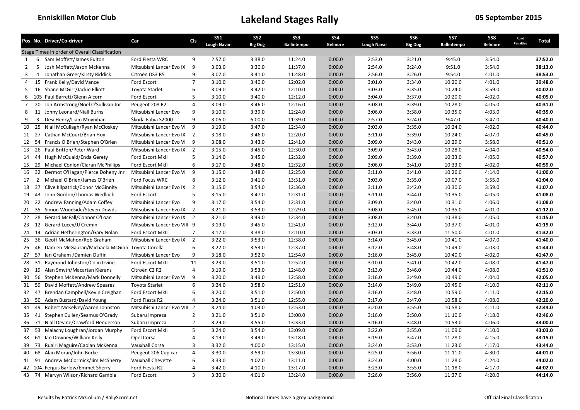|                | Pos No. Driver/Co-driver                                     | Car                          | <b>CIs</b>     | SS <sub>1</sub><br><b>Lough Navar</b> | SS <sub>2</sub><br><b>Big Dog</b> | SS <sub>3</sub><br><b>Ballintempo</b> | SS4<br><b>Belmore</b> | SS <sub>5</sub><br><b>Lough Navar</b> | SS <sub>6</sub><br><b>Big Dog</b> | SS7<br><b>Ballintempo</b> | SS8<br><b>Belmore</b> | Road<br><b>Penalties</b> | Total   |
|----------------|--------------------------------------------------------------|------------------------------|----------------|---------------------------------------|-----------------------------------|---------------------------------------|-----------------------|---------------------------------------|-----------------------------------|---------------------------|-----------------------|--------------------------|---------|
|                | Stage Times in order of Overall Classification               |                              |                |                                       |                                   |                                       |                       |                                       |                                   |                           |                       |                          |         |
| 1              | Sam Moffett/James Fulton<br>6                                | Ford Fiesta WRC              | 9              | 2:57.0                                | 3:38.0                            | 11:24.0                               | 0:00.0                | 2:53.0                                | 3:21.0                            | 9:45.0                    | 3:54.0                |                          | 37:52.0 |
| $\overline{2}$ | 5<br>Josh Moffett/Jason McKenna                              | Mitsubishi Lancer Evo IX     | 9              | 3:03.0                                | 3:30.0                            | 11:37.0                               | 0:00.0                | 2:54.0                                | 3:24.0                            | 9:51.0                    | 3:54.0                |                          | 38:13.0 |
| 3              | $\overline{4}$<br>Jonathan Greer/Kirsty Riddick              | Citroën DS3 R5               | q              | 3:07.0                                | 3:41.0                            | 11:48.0                               | 0:00.0                | 2:56.0                                | 3:26.0                            | 9:54.0                    | 4:01.0                |                          | 38:53.0 |
| 4              | 15 Frank Kelly/David Vance                                   | Ford Escort                  | $\overline{7}$ | 3:10.0                                | 3:40.0                            | 12:02.0                               | 0:00.0                | 3:01.0                                | 3:34.0                            | 10:20.0                   | 4:01.0                |                          | 39:48.0 |
| 5              | 16 Shane McGirr/Jackie Elliott                               | <b>Toyota Starlet</b>        | 6              | 3:09.0                                | 3:42.0                            | 12:10.0                               | 0:00.0                | 3:03.0                                | 3:35.0                            | 10:24.0                   | 3:59.0                |                          | 40:02.0 |
| 6              | 105 Paul Barrett/Glenn Alcorn                                | Ford Escort                  | 5              | 3:10.0                                | 3:40.0                            | 12:12.0                               | 0:00.0                | 3:04.0                                | 3:37.0                            | 10:20.0                   | 4:02.0                |                          | 40:05.0 |
| $\overline{7}$ | 20<br>Jon Armstrong/Noel O'Sullivan Jnr                      | Peugeot 208 R2               | $\overline{4}$ | 3:09.0                                | 3:46.0                            | 12:16.0                               | 0:00.0                | 3:08.0                                | 3:39.0                            | 10:28.0                   | 4:05.0                |                          | 40:31.0 |
| 8              | 11 Jonny Leonard/Niall Burns                                 | Mitsubishi Lancer Evo        | 9              | 3:10.0                                | 3:39.0                            | 12:24.0                               | 0:00.0                | 3:06.0                                | 3:38.0                            | 10:35.0                   | 4:03.0                |                          | 40:35.0 |
| 9              | $\overline{3}$<br>Desi Henry/Liam Moynihan                   | Škoda Fabia S2000            | 9              | 3:06.0                                | 6:00.0                            | 11:39.0                               | 0:00.0                | 2:57.0                                | 3:24.0                            | 9:47.0                    | 3:47.0                |                          | 40:40.0 |
| 10             | 25<br>Niall McCullagh/Ryan McCloskey                         | Mitsubishi Lancer Evo VI     | 9              | 3:19.0                                | 3:47.0                            | 12:34.0                               | 0:00.0                | 3:03.0                                | 3:35.0                            | 10:24.0                   | 4:02.0                |                          | 40:44.0 |
| 11 27          | Cathan McCourt/Brian Hoy                                     | Mitsubishi Lancer Evo IX 2   |                | 3:18.0                                | 3:46.0                            | 12:20.0                               | 0:00.0                | 3:11.0                                | 3:39.0                            | 10:24.0                   | 4:07.0                |                          | 40:45.0 |
| 12             | 54 Francis O'Brien/Stephen O'Brien                           | Mitsubishi Lancer Evo VI     | 9              | 3:08.0                                | 3:43.0                            | 12:41.0                               | 0:00.0                | 3:09.0                                | 3:43.0                            | 10:29.0                   | 3:58.0                |                          | 40:51.0 |
|                | 13 26 Paul Britton/Peter Ward                                | Mitsubishi Lancer Evo IX     | $\overline{2}$ | 3:15.0                                | 3:45.0                            | 12:30.0                               | 0:00.0                | 3:09.0                                | 3:43.0                            | 10:28.0                   | 4:04.0                |                          | 40:54.0 |
| 14 44          | Hugh McQuaid/Enda Gerety                                     | Ford Escort MkII             | 5              | 3:14.0                                | 3:45.0                            | 12:32.0                               | 0:00.0                | 3:09.0                                | 3:39.0                            | 10:33.0                   | 4:05.0                |                          | 40:57.0 |
| 15             | 29<br>Michael Conlon/Ciaran McPhillips                       | Ford Escort MkII             | 6              | 3:17.0                                | 3:48.0                            | 12:32.0                               | 0:00.0                | 3:06.0                                | 3:41.0                            | 10:33.0                   | 4:02.0                |                          | 40:59.0 |
|                | 16 32 Dermot O'Hagan/Pierce Doheny Jnr                       | Mitsubishi Lancer Evo VI     | 9              | 3:15.0                                | 3:48.0                            | 12:25.0                               | 0:00.0                | 3:11.0                                | 3:41.0                            | 10:26.0                   | 4:14.0                |                          | 41:00.0 |
| 17             | 2 Michael O'Brien/James O'Brien                              | Ford Focus WRC               | 8              | 3:12.0                                | 3:41.0                            | 13:31.0                               | 0:00.0                | 3:03.0                                | 3:35.0                            | 10:07.0                   | 3:55.0                |                          | 41:04.0 |
| 18 37          | Clive Kilpatrick/Conor McGinnity                             | Mitsubishi Lancer Evo IX 2   |                | 3:15.0                                | 3:54.0                            | 12:36.0                               | 0:00.0                | 3:11.0                                | 3:42.0                            | 10:30.0                   | 3:59.0                |                          | 41:07.0 |
| 19             | 43 John Gordon/Thomas Wedlock                                | Ford Escort                  | 5              | 3:15.0                                | 3:47.0                            | 12:31.0                               | 0:00.0                | 3:11.0                                | 3:44.0                            | 10:35.0                   | 4:05.0                |                          | 41:08.0 |
| 20             | 22 Andrew Fanning/Adam Coffey                                | Mitsubishi Lancer Evo        | 9              | 3:17.0                                | 3:54.0                            | 12:31.0                               | 0:00.0                | 3:09.0                                | 3:40.0                            | 10:31.0                   | 4:06.0                |                          | 41:08.0 |
| 21             | 35 Simon Woodside/Steven Dowds                               | Mitsubishi Lancer Evo IX 2   |                | 3:21.0                                | 3:53.0                            | 12:29.0                               | 0:00.0                | 3:08.0                                | 3:45.0                            | 10:35.0                   | 4:01.0                |                          | 41:12.0 |
| 22             | 28 Gerard McFall/Connor O'Loan                               | Mitsubishi Lancer Evo IX 2   |                | 3:21.0                                | 3:49.0                            | 12:34.0                               | 0:00.0                | 3:08.0                                | 3:40.0                            | 10:38.0                   | 4:05.0                |                          | 41:15.0 |
|                | 23 12 Gerard Lucey/JJ Cremin                                 | Mitsubishi Lancer Evo VIII 9 |                | 3:19.0                                | 3:45.0                            | 12:41.0                               | 0:00.0                | 3:12.0                                | 3:44.0                            | 10:37.0                   | 4:01.0                |                          | 41:19.0 |
|                | 24 14 Adrian Hetherington/Gary Nolan                         | Ford Escort MkII             | $\overline{7}$ | 3:17.0                                | 3:38.0                            | 12:10.0                               | 0:00.0                | 3:03.0                                | 3:33.0                            | 11:50.0                   | 4:01.0                |                          | 41:32.0 |
| 25             | 36<br>Geoff McMahon/Rob Graham                               | Mitsubishi Lancer Evo IX     | $\overline{2}$ | 3:22.0                                | 3:53.0                            | 12:38.0                               | 0:00.0                | 3:14.0                                | 3:45.0                            | 10:41.0                   | 4:07.0                |                          | 41:40.0 |
| 26             | 46<br>Damien McGauran/Michaela McGinn Toyota Corolla         |                              | 6              | 3:22.0                                | 3:53.0                            | 12:37.0                               | 0:00.0                | 3:12.0                                | 3:48.0                            | 10:49.0                   | 4:03.0                |                          | 41:44.0 |
|                | 27 57 Ian Graham / Damien Duffin                             | Mitsubishi Lancer Evo        | 9              | 3:18.0                                | 3:52.0                            | 12:54.0                               | 0:00.0                | 3:16.0                                | 3:45.0                            | 10:40.0                   | 4:02.0                |                          | 41:47.0 |
| 28             | 31<br>Raymond Johnston/Colin Irvine                          | Ford Escort MkII             | 11             | 3:23.0                                | 3:51.0                            | 12:52.0                               | 0:00.0                | 3:10.0                                | 3:41.0                            | 10:42.0                   | 4:08.0                |                          | 41:47.0 |
|                | 29 19 Alan Smyth/Macartan Kierans                            | Citroën C2 R2                | 4              | 3:19.0                                | 3:53.0                            | 12:48.0                               | 0:00.0                | 3:13.0                                | 3:46.0                            | 10:44.0                   | 4:08.0                |                          | 41:51.0 |
| 30             | 56 Stephen McKenna/Mark Donnelly                             | Mitsubishi Lancer Evo VI     | 9              | 3:20.0                                | 3:49.0                            | 12:58.0                               | 0:00.0                | 3:16.0                                | 3:49.0                            | 10:49.0                   | 4:04.0                |                          | 42:05.0 |
| 31             | 59<br>David Moffett/Andrew Speares                           | <b>Toyota Starlet</b>        | 6              | 3:24.0                                | 3:58.0                            | 12:51.0                               | 0:00.0                | 3:14.0                                | 3:49.0                            | 10:45.0                   | 4:10.0                |                          | 42:11.0 |
| 32 47          | Brendan Campbell/Kevin Creighan                              | Ford Escort MkII             | 6              | 3:20.0                                | 3:51.0                            | 12:50.0                               | 0:00.0                | 3:16.0                                | 3:48.0                            | 10:59.0                   | 4:11.0                |                          | 42:15.0 |
| 33             | 50 Adam Bustard/David Young                                  | Ford Fiesta R2               | 4              | 3:24.0                                | 3:51.0                            | 12:55.0                               | 0:00.0                | 3:17.0                                | 3:47.0                            | 10:58.0                   | 4:08.0                |                          | 42:20.0 |
| 34             | 49<br>Robert McKelvey/Aaron Johnston                         | Mitsubishi Lancer Evo VIII   | $\overline{2}$ | 3:24.0                                | 4:03.0                            | 12:53.0                               | 0:00.0                | 3:20.0                                | 3:55.0                            | 10:58.0                   | 4:11.0                |                          | 42:44.0 |
| 35 41          | Stephen Cullen/Seamus O'Grady                                | Subaru Impreza               | $\overline{2}$ | 3:21.0                                | 3:51.0                            | 13:00.0                               | 0:00.0                | 3:16.0                                | 3:50.0                            | 11:10.0                   | 4:18.0                |                          | 42:46.0 |
| 36             | 71 Niall Devine/Crawford Henderson                           | Subaru Impreza               | $\overline{2}$ | 3:29.0                                | 3:55.0                            | 13:33.0                               | 0:00.0                | 3:16.0                                | 3:48.0                            | 10:53.0                   | 4:06.0                |                          | 43:00.0 |
| 37             | 53 Malachy Loughran/Jordan Murphy                            | Ford Escort MkII             | 5              | 3:24.0                                | 3:54.0                            | 13:09.0                               | 0:00.0                | 3:22.0                                | 3:55.0                            | 11:09.0                   | 4:10.0                |                          | 43:03.0 |
| 38             | 61 Ian Downey/William Kelly                                  | Opel Corsa                   | 4              | 3:19.0                                | 3:49.0                            | 13:18.0                               | 0:00.0                | 3:19.0                                | 3:47.0                            | 11:28.0                   | 4:15.0                |                          | 43:15.0 |
|                | 73                                                           | Vauxhall Corsa               | 3              | 3:32.0                                | 4:00.0                            | 13:15.0                               | 0:00.0                | 3:24.0                                | 3:53.0                            | 11:23.0                   | 4:17.0                |                          | 43:44.0 |
| 39<br>40       | Ruairi Maguire/Caolan McKenna<br>68<br>Alan Moran/John Burke | Peugeot 206 Cup car          | $\overline{4}$ | 3:30.0                                | 3:59.0                            | 13:30.0                               | 0:00.0                | 3:25.0                                | 3:56.0                            | 11:11.0                   | 4:30.0                |                          | 44:01.0 |
|                | 41 91 Andrew McCormick/Jim McSherry                          | Vauxhall Chevette            | 6              | 3:33.0                                | 4:02.0                            | 13:11.0                               | 0:00.0                | 3:24.0                                | 4:00.0                            | 11:28.0                   | 4:24.0                |                          | 44:02.0 |
|                | 42 104 Fergus Barlow/Emmet Sherry                            | Ford Fiesta R2               | $\overline{4}$ | 3:42.0                                | 4:10.0                            | 13:17.0                               | 0:00.0                | 3:23.0                                | 3:55.0                            | 11:18.0                   | 4:17.0                |                          | 44:02.0 |
| 43             | 74 Mervyn Wilson/Richard Gamble                              | Ford Escort                  | $\overline{3}$ | 3:30.0                                | 4:01.0                            | 13:24.0                               | 0:00.0                | 3:26.0                                | 3:56.0                            | 11:37.0                   | 4:20.0                |                          | 44:14.0 |
|                |                                                              |                              |                |                                       |                                   |                                       |                       |                                       |                                   |                           |                       |                          |         |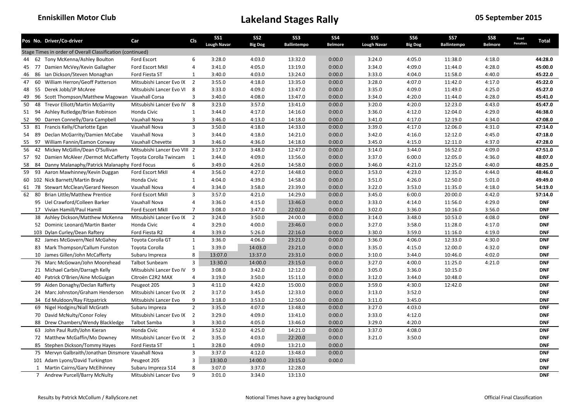|    |    | Pos No. Driver/Co-driver                                    | Car                          | <b>CIs</b>     | <b>SS1</b><br><b>Lough Navar</b> | SS <sub>2</sub><br><b>Big Dog</b> | SS <sub>3</sub><br><b>Ballintempo</b> | <b>SS4</b><br><b>Belmore</b> | SS <sub>5</sub><br><b>Lough Navar</b> | SS6<br><b>Big Dog</b> | SS7<br><b>Ballintempo</b> | SS8<br><b>Belmore</b> | Road<br><b>Penalties</b> | Total      |
|----|----|-------------------------------------------------------------|------------------------------|----------------|----------------------------------|-----------------------------------|---------------------------------------|------------------------------|---------------------------------------|-----------------------|---------------------------|-----------------------|--------------------------|------------|
|    |    | Stage Times in order of Overall Classification (continued)  |                              |                |                                  |                                   |                                       |                              |                                       |                       |                           |                       |                          |            |
| 44 |    | 62 Tony McKenna/Ashley Boulton                              | Ford Escort                  | 6              | 3:28.0                           | 4:03.0                            | 13:32.0                               | 0:00.0                       | 3:24.0                                | 4:05.0                | 11:38.0                   | 4:18.0                |                          | 44:28.0    |
| 45 |    | 77 Damien McVey/Kevin Gallagher                             | Ford Escort MkII             | 4              | 3:41.0                           | 4:05.0                            | 13:19.0                               | 0:00.0                       | 3:34.0                                | 4:09.0                | 11:44.0                   | 4:28.0                |                          | 45:00.0    |
| 46 |    | 86 Ian Dickson/Steven Monaghan                              | Ford Fiesta ST               | 1              | 3:40.0                           | 4:03.0                            | 13:24.0                               | 0:00.0                       | 3:33.0                                | 4:04.0                | 11:58.0                   | 4:40.0                |                          | 45:22.0    |
| 47 |    | 60 William Herron/Geoff Patterson                           | Mitsubishi Lancer Evo IX     | $\overline{2}$ | 3:55.0                           | 4:18.0                            | 13:35.0                               | 0:00.0                       | 3:28.0                                | 4:07.0                | 11:42.0                   | 4:17.0                |                          | 45:22.0    |
| 48 |    | 55 Derek Jobb/JP McAree                                     | Mitsubishi Lancer Evo VI 8   |                | 3:33.0                           | 4:09.0                            | 13:47.0                               | 0:00.0                       | 3:35.0                                | 4:09.0                | 11:49.0                   | 4:25.0                |                          | 45:27.0    |
| 49 |    | 96 Scott Thompson/Matthew Magowan Vauxhall Corsa            |                              | 3              | 3:40.0                           | 4:08.0                            | 13:47.0                               | 0:00.0                       | 3:34.0                                | 4:20.0                | 11:44.0                   | 4:28.0                |                          | 45:41.0    |
| 50 | 48 | <b>Trevor Elliott/Martin McGarrity</b>                      | Mitsubishi Lancer Evo IV     | 8              | 3:23.0                           | 3:57.0                            | 13:41.0                               | 0:00.0                       | 3:20.0                                | 4:20.0                | 12:23.0                   | 4:43.0                |                          | 45:47.0    |
|    |    | 51 94 Ashley Rutledge/Brian Robinson                        | Honda Civic                  | $\mathbf{1}$   | 3:44.0                           | 4:17.0                            | 14:16.0                               | 0:00.0                       | 3:36.0                                | 4:12.0                | 12:04.0                   | 4:29.0                |                          | 46:38.0    |
| 52 | 90 | Darren Connelly/Dara Campbell                               | Vauxhall Nova                | 3              | 3:46.0                           | 4:13.0                            | 14:18.0                               | 0:00.0                       | 3:41.0                                | 4:17.0                | 12:19.0                   | 4:34.0                |                          | 47:08.0    |
| 53 |    | 81 Francis Kelly/Charlotte Egan                             | Vauxhall Nova                | $\overline{3}$ | 3:50.0                           | 4:18.0                            | 14:33.0                               | 0:00.0                       | 3:39.0                                | 4:17.0                | 12:06.0                   | 4:31.0                |                          | 47:14.0    |
| 54 | 89 | Declan McGarrity/Damien McCabe                              | Vauxhall Nova                | 3              | 3:44.0                           | 4:18.0                            | 14:21.0                               | 0:00.0                       | 3:42.0                                | 4:16.0                | 12:12.0                   | 4:45.0                |                          | 47:18.0    |
| 55 | 97 | William Fannin/Eamon Conway                                 | Vauxhall Chevette            | 3              | 3:46.0                           | 4:36.0                            | 14:18.0                               | 0:00.0                       | 3:45.0                                | 4:15.0                | 12:11.0                   | 4:37.0                |                          | 47:28.0    |
| 56 |    | 42 Mickey McGillin/Dean O'Sullivan                          | Mitsubishi Lancer Evo VIII 2 |                | 3:17.0                           | 3:48.0                            | 12:47.0                               | 0:00.0                       | 3:14.0                                | 3:44.0                | 16:52.0                   | 4:09.0                |                          | 47:51.0    |
| 57 |    | 92 Damien McAleer /Dermot McCafferty Toyota Corolla Twincam |                              | $\overline{1}$ | 3:44.0                           | 4:09.0                            | 13:56.0                               | 0:00.0                       | 3:37.0                                | 6:00.0                | 12:05.0                   | 4:36.0                |                          | 48:07.0    |
| 58 |    | 84 Danny Malanaphy/Patrick Malanaphy Ford Focus             |                              | 6              | 3:49.0                           | 4:26.0                            | 14:58.0                               | 0:00.0                       | 3:46.0                                | 4:21.0                | 12:25.0                   | 4:40.0                |                          | 48:25.0    |
| 59 |    | 93 Aaron Mawhinney/Kevin Duggan                             | Ford Escort MkII             | $\overline{4}$ | 3:56.0                           | 4:27.0                            | 14:48.0                               | 0:00.0                       | 3:53.0                                | 4:23.0                | 12:35.0                   | 4:44.0                |                          | 48:46.0    |
|    |    | 60 102 Nick Barnett/Martin Brady                            | Honda Civic                  | $\mathbf{1}$   | 4:04.0                           | 4:39.0                            | 14:58.0                               | 0:00.0                       | 3:51.0                                | 4:26.0                | 12:50.0                   | 5:01.0                |                          | 49:49.0    |
| 61 |    | 78 Stewart McClean/Gerard Neeson                            | Vauxhall Nova                | 4              | 3:34.0                           | 3:58.0                            | 23:39.0                               | 0:00.0                       | 3:22.0                                | 3:53.0                | 11:35.0                   | 4:18.0                |                          | 54:19.0    |
| 62 | 80 | <b>Brian Little/Matthew Prentice</b>                        | Ford Escort MkII             | 3              | 3:57.0                           | 4:21.0                            | 14:29.0                               | 0:00.0                       | 3:45.0                                | 6:00.0                | 20:00.0                   | 4:42.0                |                          | 57:14.0    |
|    |    | 95 Uel Crawford/Colleen Barker                              | Vauxhall Nova                | 4              | 3:36.0                           | 4:15.0                            | 13:46.0                               | 0:00.0                       | 3:33.0                                | 4:14.0                | 11:56.0                   | 4:29.0                |                          | <b>DNF</b> |
|    |    | 17 Vivian Hamill/Paul Hamill                                | Ford Escort MkII             | $\overline{7}$ | 3:08.0                           | 3:47.0                            | 22:02.0                               | 0:00.0                       | 3:02.0                                | 3:36.0                | 10:16.0                   | 3:56.0                |                          | <b>DNF</b> |
|    |    | 38 Ashley Dickson/Matthew McKenna                           | Mitsubishi Lancer Evo IX     | $\overline{2}$ | 3:24.0                           | 3:50.0                            | 24:00.0                               | 0:00.0                       | 3:14.0                                | 3:48.0                | 10:53.0                   | 4:08.0                |                          | <b>DNF</b> |
|    |    | 52 Dominic Leonard/Martin Baxter                            | Honda Civic                  | $\overline{4}$ | 3:29.0                           | 4:00.0                            | 23:46.0                               | 0:00.0                       | 3:27.0                                | 3:58.0                | 11:28.0                   | 4:17.0                |                          | <b>DNF</b> |
|    |    | 103 Dylan Curley/Dean Raftery                               | Ford Fiesta R2               | 4              | 3:39.0                           | 5:26.0                            | 22:16.0                               | 0:00.0                       | 3:30.0                                | 3:59.0                | 11:16.0                   | 4:19.0                |                          | <b>DNF</b> |
|    |    | 82 James McGovern/Neil McGahey                              | Toyota Corolla GT            | $\mathbf{1}$   | 3:36.0                           | 4:06.0                            | 23:21.0                               | 0:00.0                       | 3:36.0                                | 4:06.0                | 12:33.0                   | 4:30.0                |                          | <b>DNF</b> |
|    |    | 83 Mark Thompson/Callum Funston                             | Toyota Corolla               | $\mathbf{1}$   | 3:39.0                           | 14:03.0                           | 23:21.0                               | 0:00.0                       | 3:35.0                                | 4:15.0                | 12:00.0                   | 4:32.0                |                          | <b>DNF</b> |
|    |    | 10 James Gillen/John McCafferty                             | Subaru Impreza               | 8              | 13:07.0                          | 13:37.0                           | 23:31.0                               | 0:00.0                       | 3:10.0                                | 3:44.0                | 10:46.0                   | 4:02.0                |                          | <b>DNF</b> |
|    |    | 76 Marc McGowan/John Moorehead                              | <b>Talbot Sunbeam</b>        | 3              | 13:30.0                          | 14:00.0                           | 23:15.0                               | 0:00.0                       | 3:27.0                                | 4:00.0                | 11:25.0                   | 4:21.0                |                          | <b>DNF</b> |
|    |    | 21 Michael Carbin/Darragh Kelly                             | Mitsubishi Lancer Evo IV     | 9              | 3:08.0                           | 3:42.0                            | 12:12.0                               | 0:00.0                       | 3:05.0                                | 3:36.0                | 10:15.0                   |                       |                          | <b>DNF</b> |
|    |    | 40 Patrick O'Brien/Aine McGuigan                            | Citroën C2R2 MAX             | 4              | 3:19.0                           | 3:50.0                            | 15:11.0                               | 0:00.0                       | 3:12.0                                | 3:44.0                | 10:48.0                   |                       |                          | <b>DNF</b> |
|    |    | 99 Aiden Donaghy/Declan Rafferty                            | Peugeot 205                  | 3              | 4:11.0                           | 4:42.0                            | 15:00.0                               | 0:00.0                       | 3:59.0                                | 4:30.0                | 12:42.0                   |                       |                          | <b>DNF</b> |
|    |    | 24 Marc Johnston/Graham Henderson                           | Mitsubishi Lancer Evo IX     | $\overline{2}$ | 3:17.0                           | 3:45.0                            | 12:33.0                               | 0:00.0                       | 3:13.0                                | 3:52.0                |                           |                       |                          | <b>DNF</b> |
|    |    | 34 Ed Muldoon/Ray Fitzpatrick                               | Mitsubishi Lancer Evo        | 9              | 3:18.0                           | 3:53.0                            | 12:50.0                               | 0:00.0                       | 3:11.0                                | 3:45.0                |                           |                       |                          | <b>DNF</b> |
|    |    | 69 Nigel Hodgins/Niall McGrath                              | Subaru Impreza               | $\overline{2}$ | 3:35.0                           | 4:07.0                            | 13:48.0                               | 0:00.0                       | 3:27.0                                | 4:03.0                |                           |                       |                          | <b>DNF</b> |
|    |    | 70 David McNulty/Conor Foley                                | Mitsubishi Lancer Evo IX 2   |                | 3:29.0                           | 4:09.0                            | 13:41.0                               | 0:00.0                       | 3:33.0                                | 4:12.0                |                           |                       |                          | <b>DNF</b> |
|    |    | 88 Drew Chambers/Wendy Blackledge                           | Talbot Samba                 | 3              | 3:30.0                           | 4:05.0                            | 13:46.0                               | 0:00.0                       | 3:29.0                                | 4:20.0                |                           |                       |                          | <b>DNF</b> |
|    |    | 63 John Paul Ruth/John Kieran                               | Honda Civic                  | $\overline{a}$ | 3:52.0                           | 4:25.0                            | 14:21.0                               | 0:00.0                       | 3:37.0                                | 4:08.0                |                           |                       |                          | <b>DNF</b> |
|    |    | 72 Matthew McGaffin/Mo Downey                               | Mitsubishi Lancer Evo IX     | $\overline{2}$ | 3:35.0                           | 4:03.0                            | 22:20.0                               | 0:00.0                       | 3:21.0                                | 3:50.0                |                           |                       |                          | <b>DNF</b> |
|    |    |                                                             |                              | $\mathbf{1}$   |                                  |                                   |                                       |                              |                                       |                       |                           |                       |                          | <b>DNF</b> |
|    |    | 85 Stephen Dickson/Tommy Hayes                              | Ford Fiesta ST               | 3              | 3:28.0<br>3:37.0                 | 4:09.0                            | 13:21.0                               | 0:00.0                       |                                       |                       |                           |                       |                          |            |
|    |    | 75 Mervyn Galbraith/Jonathan Dinsmore Vauxhall Nova         |                              |                |                                  | 4:12.0                            | 13:48.0                               | 0:00.0                       |                                       |                       |                           |                       |                          | <b>DNF</b> |
|    |    | 101 Adam Lyons/David Turkington                             | Peugeot 205                  | 3              | 13:30.0                          | 14:00.0                           | 23:15.0                               | 0:00.0                       |                                       |                       |                           |                       |                          | <b>DNF</b> |
|    |    | 1 Martin Cairns/Gary McElhinney                             | Subaru Impreza S14           | 8              | 3:07.0                           | 3:37.0                            | 12:28.0                               |                              |                                       |                       |                           |                       |                          | <b>DNF</b> |
|    |    | 7 Andrew Purcell/Barry McNulty                              | Mitsubishi Lancer Evo        | 9              | 3:01.0                           | 3:34.0                            | 13:13.0                               |                              |                                       |                       |                           |                       |                          | <b>DNF</b> |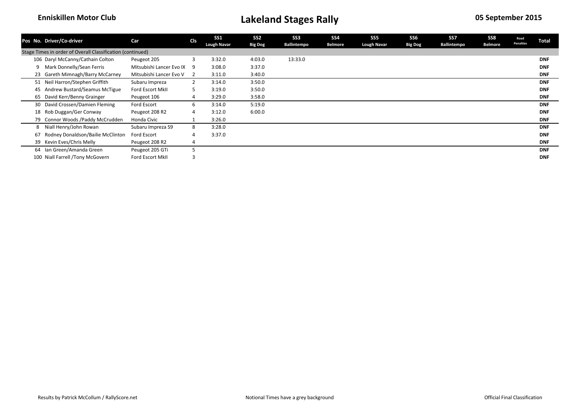|    | Pos No. Driver/Co-driver                                   | Car                      | <b>Cls</b>   | <b>SS1</b><br><b>Lough Navar</b> | SS <sub>2</sub><br><b>Big Dog</b> | SS <sub>3</sub><br>Ballintempo | SS <sub>4</sub><br><b>Belmore</b> | SS <sub>5</sub><br><b>Lough Navar</b> | SS <sub>6</sub><br><b>Big Dog</b> | SS7<br>Ballintempo | SS8<br><b>Belmore</b> | Road<br><b>Penalties</b> | <b>Total</b> |
|----|------------------------------------------------------------|--------------------------|--------------|----------------------------------|-----------------------------------|--------------------------------|-----------------------------------|---------------------------------------|-----------------------------------|--------------------|-----------------------|--------------------------|--------------|
|    | Stage Times in order of Overall Classification (continued) |                          |              |                                  |                                   |                                |                                   |                                       |                                   |                    |                       |                          |              |
|    | 106 Daryl McCanny/Cathain Colton                           | Peugeot 205              |              | 3:32.0                           | 4:03.0                            | 13:33.0                        |                                   |                                       |                                   |                    |                       |                          | <b>DNF</b>   |
| 9  | Mark Donnelly/Sean Ferris                                  | Mitsubishi Lancer Evo IX | q            | 3:08.0                           | 3:37.0                            |                                |                                   |                                       |                                   |                    |                       |                          | <b>DNF</b>   |
|    | 23 Gareth Mimnagh/Barry McCarney                           | Mitsubishi Lancer Evo V  |              | 3:11.0                           | 3:40.0                            |                                |                                   |                                       |                                   |                    |                       |                          | <b>DNF</b>   |
|    | 51 Neil Harron/Stephen Griffith                            | Subaru Impreza           | $\mathbf{2}$ | 3:14.0                           | 3:50.0                            |                                |                                   |                                       |                                   |                    |                       |                          | <b>DNF</b>   |
| 45 | Andrew Bustard/Seamus McTigue                              | Ford Escort MkII         |              | 3:19.0                           | 3:50.0                            |                                |                                   |                                       |                                   |                    |                       |                          | <b>DNF</b>   |
|    | 65 David Kerr/Benny Grainger                               | Peugeot 106              |              | 3:29.0                           | 3:58.0                            |                                |                                   |                                       |                                   |                    |                       |                          | <b>DNF</b>   |
|    | 30 David Crossen/Damien Fleming                            | Ford Escort              | 6            | 3:14.0                           | 5:19.0                            |                                |                                   |                                       |                                   |                    |                       |                          | <b>DNF</b>   |
|    | 18 Rob Duggan/Ger Conway                                   | Peugeot 208 R2           | 4            | 3:12.0                           | 6:00.0                            |                                |                                   |                                       |                                   |                    |                       |                          | <b>DNF</b>   |
|    | 79 Connor Woods /Paddy McCrudden                           | Honda Civic              |              | 3:26.0                           |                                   |                                |                                   |                                       |                                   |                    |                       |                          | <b>DNF</b>   |
| 8  | Niall Henry/John Rowan                                     | Subaru Impreza S9        | 8            | 3:28.0                           |                                   |                                |                                   |                                       |                                   |                    |                       |                          | <b>DNF</b>   |
| 67 | Rodney Donaldson/Bailie McClinton                          | <b>Ford Escort</b>       |              | 3:37.0                           |                                   |                                |                                   |                                       |                                   |                    |                       |                          | <b>DNF</b>   |
|    | 39 Kevin Eves/Chris Melly                                  | Peugeot 208 R2           | 4            |                                  |                                   |                                |                                   |                                       |                                   |                    |                       |                          | <b>DNF</b>   |
|    | 64 Ian Green/Amanda Green                                  | Peugeot 205 GTi          |              |                                  |                                   |                                |                                   |                                       |                                   |                    |                       |                          | <b>DNF</b>   |
|    | 100 Niall Farrell /Tony McGovern                           | Ford Escort MkII         |              |                                  |                                   |                                |                                   |                                       |                                   |                    |                       |                          | <b>DNF</b>   |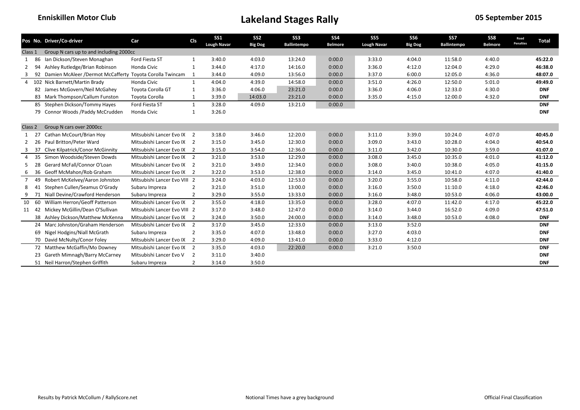|                |    | Pos No. Driver/Co-driver                                 | Car                          | Cls            | <b>SS1</b><br><b>Lough Navar</b> | SS <sub>2</sub><br><b>Big Dog</b> | SS <sub>3</sub><br><b>Ballintempo</b> | <b>SS4</b><br><b>Belmore</b> | SS <sub>5</sub><br><b>Lough Navar</b> | SS <sub>6</sub><br><b>Big Dog</b> | SS7<br><b>Ballintempo</b> | SS8<br><b>Belmore</b> | Road<br><b>Penalties</b> | <b>Total</b> |
|----------------|----|----------------------------------------------------------|------------------------------|----------------|----------------------------------|-----------------------------------|---------------------------------------|------------------------------|---------------------------------------|-----------------------------------|---------------------------|-----------------------|--------------------------|--------------|
| Class 1        |    | Group N cars up to and including 2000cc                  |                              |                |                                  |                                   |                                       |                              |                                       |                                   |                           |                       |                          |              |
| 1              | 86 | Ian Dickson/Steven Monaghan                              | Ford Fiesta ST               | 1              | 3:40.0                           | 4:03.0                            | 13:24.0                               | 0:00.0                       | 3:33.0                                | 4:04.0                            | 11:58.0                   | 4:40.0                |                          | 45:22.0      |
| 2              | 94 | Ashley Rutledge/Brian Robinson                           | Honda Civic                  | 1              | 3:44.0                           | 4:17.0                            | 14:16.0                               | 0:00.0                       | 3:36.0                                | 4:12.0                            | 12:04.0                   | 4:29.0                |                          | 46:38.0      |
|                | 92 | Damien McAleer /Dermot McCafferty Toyota Corolla Twincam |                              | 1              | 3:44.0                           | 4:09.0                            | 13:56.0                               | 0:00.0                       | 3:37.0                                | 6:00.0                            | 12:05.0                   | 4:36.0                |                          | 48:07.0      |
| $\overline{a}$ |    | 102 Nick Barnett/Martin Brady                            | Honda Civic                  | 1              | 4:04.0                           | 4:39.0                            | 14:58.0                               | 0:00.0                       | 3:51.0                                | 4:26.0                            | 12:50.0                   | 5:01.0                |                          | 49:49.0      |
|                |    | 82 James McGovern/Neil McGahey                           | Toyota Corolla GT            | 1              | 3:36.0                           | 4:06.0                            | 23:21.0                               | 0:00.0                       | 3:36.0                                | 4:06.0                            | 12:33.0                   | 4:30.0                |                          | <b>DNF</b>   |
|                |    | 83 Mark Thompson/Callum Funston                          | Toyota Corolla               | 1              | 3:39.0                           | 14:03.0                           | 23:21.0                               | 0:00.0                       | 3:35.0                                | 4:15.0                            | 12:00.0                   | 4:32.0                |                          | <b>DNF</b>   |
|                |    | 85 Stephen Dickson/Tommy Hayes                           | Ford Fiesta ST               | $\mathbf{1}$   | 3:28.0                           | 4:09.0                            | 13:21.0                               | 0:00.0                       |                                       |                                   |                           |                       |                          | <b>DNF</b>   |
|                |    | 79 Connor Woods / Paddy McCrudden                        | Honda Civic                  | 1              | 3:26.0                           |                                   |                                       |                              |                                       |                                   |                           |                       |                          | <b>DNF</b>   |
|                |    |                                                          |                              |                |                                  |                                   |                                       |                              |                                       |                                   |                           |                       |                          |              |
| Class 2        |    | Group N cars over 2000cc                                 |                              |                |                                  |                                   |                                       |                              |                                       |                                   |                           |                       |                          |              |
| 1              | 27 | Cathan McCourt/Brian Hoy                                 | Mitsubishi Lancer Evo IX     | $\overline{2}$ | 3:18.0                           | 3:46.0                            | 12:20.0                               | 0:00.0                       | 3:11.0                                | 3:39.0                            | 10:24.0                   | 4:07.0                |                          | 40:45.0      |
| 2              | 26 | Paul Britton/Peter Ward                                  | Mitsubishi Lancer Evo IX 2   |                | 3:15.0                           | 3:45.0                            | 12:30.0                               | 0:00.0                       | 3:09.0                                | 3:43.0                            | 10:28.0                   | 4:04.0                |                          | 40:54.0      |
| -3             | 37 | <b>Clive Kilpatrick/Conor McGinnity</b>                  | Mitsubishi Lancer Evo IX 2   |                | 3:15.0                           | 3:54.0                            | 12:36.0                               | 0:00.0                       | 3:11.0                                | 3:42.0                            | 10:30.0                   | 3:59.0                |                          | 41:07.0      |
| $\overline{4}$ | 35 | Simon Woodside/Steven Dowds                              | Mitsubishi Lancer Evo IX 2   |                | 3:21.0                           | 3:53.0                            | 12:29.0                               | 0:00.0                       | 3:08.0                                | 3:45.0                            | 10:35.0                   | 4:01.0                |                          | 41:12.0      |
| 5              | 28 | Gerard McFall/Connor O'Loan                              | Mitsubishi Lancer Evo IX 2   |                | 3:21.0                           | 3:49.0                            | 12:34.0                               | 0:00.0                       | 3:08.0                                | 3:40.0                            | 10:38.0                   | 4:05.0                |                          | 41:15.0      |
| 6              | 36 | Geoff McMahon/Rob Graham                                 | Mitsubishi Lancer Evo IX 2   |                | 3:22.0                           | 3:53.0                            | 12:38.0                               | 0:00.0                       | 3:14.0                                | 3:45.0                            | 10:41.0                   | 4:07.0                |                          | 41:40.0      |
| 7              | 49 | Robert McKelvey/Aaron Johnston                           | Mitsubishi Lancer Evo VIII 2 |                | 3:24.0                           | 4:03.0                            | 12:53.0                               | 0:00.0                       | 3:20.0                                | 3:55.0                            | 10:58.0                   | 4:11.0                |                          | 42:44.0      |
| 8              |    | Stephen Cullen/Seamus O'Grady                            | Subaru Impreza               | $\overline{2}$ | 3:21.0                           | 3:51.0                            | 13:00.0                               | 0:00.0                       | 3:16.0                                | 3:50.0                            | 11:10.0                   | 4:18.0                |                          | 42:46.0      |
| 9              | 71 | Niall Devine/Crawford Henderson                          | Subaru Impreza               | $\overline{2}$ | 3:29.0                           | 3:55.0                            | 13:33.0                               | 0:00.0                       | 3:16.0                                | 3:48.0                            | 10:53.0                   | 4:06.0                |                          | 43:00.0      |
| 10             | 60 | William Herron/Geoff Patterson                           | Mitsubishi Lancer Evo IX     | $\overline{2}$ | 3:55.0                           | 4:18.0                            | 13:35.0                               | 0:00.0                       | 3:28.0                                | 4:07.0                            | 11:42.0                   | 4:17.0                |                          | 45:22.0      |
| 11             | 42 | Mickey McGillin/Dean O'Sullivan                          | Mitsubishi Lancer Evo VIII 2 |                | 3:17.0                           | 3:48.0                            | 12:47.0                               | 0:00.0                       | 3:14.0                                | 3:44.0                            | 16:52.0                   | 4:09.0                |                          | 47:51.0      |
|                |    | 38 Ashley Dickson/Matthew McKenna                        | Mitsubishi Lancer Evo IX 2   |                | 3:24.0                           | 3:50.0                            | 24:00.0                               | 0:00.0                       | 3:14.0                                | 3:48.0                            | 10:53.0                   | 4:08.0                |                          | <b>DNF</b>   |
|                |    | 24 Marc Johnston/Graham Henderson                        | Mitsubishi Lancer Evo IX 2   |                | 3:17.0                           | 3:45.0                            | 12:33.0                               | 0:00.0                       | 3:13.0                                | 3:52.0                            |                           |                       |                          | <b>DNF</b>   |
|                | 69 | Nigel Hodgins/Niall McGrath                              | Subaru Impreza               | $\overline{2}$ | 3:35.0                           | 4:07.0                            | 13:48.0                               | 0:00.0                       | 3:27.0                                | 4:03.0                            |                           |                       |                          | <b>DNF</b>   |
|                |    | 70 David McNulty/Conor Foley                             | Mitsubishi Lancer Evo IX     | $\overline{2}$ | 3:29.0                           | 4:09.0                            | 13:41.0                               | 0:00.0                       | 3:33.0                                | 4:12.0                            |                           |                       |                          | <b>DNF</b>   |
|                |    | 72 Matthew McGaffin/Mo Downey                            | Mitsubishi Lancer Evo IX     | $\overline{2}$ | 3:35.0                           | 4:03.0                            | 22:20.0                               | 0:00.0                       | 3:21.0                                | 3:50.0                            |                           |                       |                          | <b>DNF</b>   |
|                |    | <b>Gareth Mimnagh/Barry McCarney</b>                     | Mitsubishi Lancer Evo V      | $\overline{2}$ | 3:11.0                           | 3:40.0                            |                                       |                              |                                       |                                   |                           |                       |                          | <b>DNF</b>   |
|                |    | 51 Neil Harron/Stephen Griffith                          | Subaru Impreza               | $\overline{2}$ | 3:14.0                           | 3:50.0                            |                                       |                              |                                       |                                   |                           |                       |                          | <b>DNF</b>   |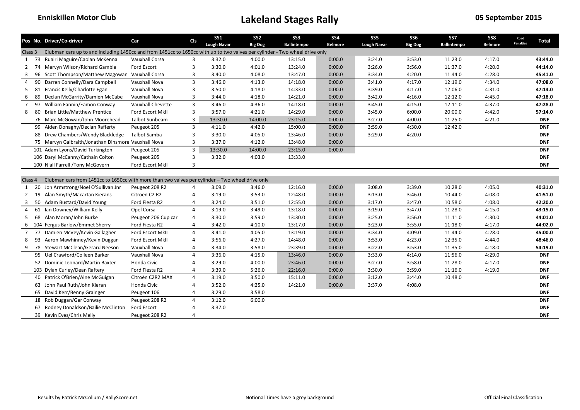|                |    | Pos No. Driver/Co-driver                                                                                                    | Car                     | <b>CIs</b>     | <b>SS1</b>         | SS <sub>2</sub> | SS <sub>3</sub> | <b>SS4</b>     | SS <sub>5</sub>    | SS <sub>6</sub> | SS7         | SS8            | Road             | <b>Total</b> |
|----------------|----|-----------------------------------------------------------------------------------------------------------------------------|-------------------------|----------------|--------------------|-----------------|-----------------|----------------|--------------------|-----------------|-------------|----------------|------------------|--------------|
|                |    |                                                                                                                             |                         |                | <b>Lough Navar</b> | <b>Big Dog</b>  | Ballintempo     | <b>Belmore</b> | <b>Lough Navar</b> | <b>Big Dog</b>  | Ballintempo | <b>Belmore</b> | <b>Penalties</b> |              |
| Class 3        |    | Clubman cars up to and including 1450cc and from 1451cc to 1650cc with up to two valves per cylinder - Two wheel drive only |                         |                |                    |                 |                 |                |                    |                 |             |                |                  |              |
| 1              | 73 | Ruairi Maguire/Caolan McKenna                                                                                               | Vauxhall Corsa          | 3              | 3:32.0             | 4:00.0          | 13:15.0         | 0:00.0         | 3:24.0             | 3:53.0          | 11:23.0     | 4:17.0         |                  | 43:44.0      |
| $\overline{2}$ | 74 | Mervyn Wilson/Richard Gamble                                                                                                | Ford Escort             | 3              | 3:30.0             | 4:01.0          | 13:24.0         | 0:00.0         | 3:26.0             | 3:56.0          | 11:37.0     | 4:20.0         |                  | 44:14.0      |
| 3              | 96 | Scott Thompson/Matthew Magowan                                                                                              | Vauxhall Corsa          | 3              | 3:40.0             | 4:08.0          | 13:47.0         | 0:00.0         | 3:34.0             | 4:20.0          | 11:44.0     | 4:28.0         |                  | 45:41.0      |
| $\overline{4}$ | 90 | Darren Connelly/Dara Campbell                                                                                               | Vauxhall Nova           | 3              | 3:46.0             | 4:13.0          | 14:18.0         | 0:00.0         | 3:41.0             | 4:17.0          | 12:19.0     | 4:34.0         |                  | 47:08.0      |
| 5              |    | 81 Francis Kelly/Charlotte Egan                                                                                             | <b>Vauxhall Nova</b>    | 3              | 3:50.0             | 4:18.0          | 14:33.0         | 0:00.0         | 3:39.0             | 4:17.0          | 12:06.0     | 4:31.0         |                  | 47:14.0      |
| 6              | 89 | Declan McGarrity/Damien McCabe                                                                                              | Vauxhall Nova           | 3              | 3:44.0             | 4:18.0          | 14:21.0         | 0:00.0         | 3:42.0             | 4:16.0          | 12:12.0     | 4:45.0         |                  | 47:18.0      |
| 7              | 97 | William Fannin/Eamon Conway                                                                                                 | Vauxhall Chevette       | $\overline{3}$ | 3:46.0             | 4:36.0          | 14:18.0         | 0:00.0         | 3:45.0             | 4:15.0          | 12:11.0     | 4:37.0         |                  | 47:28.0      |
| 8              | 80 | <b>Brian Little/Matthew Prentice</b>                                                                                        | <b>Ford Escort MkII</b> | 3              | 3:57.0             | 4:21.0          | 14:29.0         | 0:00.0         | 3:45.0             | 6:00.0          | 20:00.0     | 4:42.0         |                  | 57:14.0      |
|                |    | 76 Marc McGowan/John Moorehead                                                                                              | <b>Talbot Sunbeam</b>   | $\overline{3}$ | 13:30.0            | 14:00.0         | 23:15.0         | 0:00.0         | 3:27.0             | 4:00.0          | 11:25.0     | 4:21.0         |                  | <b>DNF</b>   |
|                |    | 99 Aiden Donaghy/Declan Rafferty                                                                                            | Peugeot 205             | $\overline{3}$ | 4:11.0             | 4:42.0          | 15:00.0         | 0:00.0         | 3:59.0             | 4:30.0          | 12:42.0     |                |                  | <b>DNF</b>   |
|                | 88 | Drew Chambers/Wendy Blackledge                                                                                              | Talbot Samba            | 3              | 3:30.0             | 4:05.0          | 13:46.0         | 0:00.0         | 3:29.0             | 4:20.0          |             |                |                  | <b>DNF</b>   |
|                |    | 75 Mervyn Galbraith/Jonathan Dinsmore Vauxhall Nova                                                                         |                         | $\overline{3}$ | 3:37.0             | 4:12.0          | 13:48.0         | 0:00.0         |                    |                 |             |                |                  | <b>DNF</b>   |
|                |    | 101 Adam Lyons/David Turkington                                                                                             | Peugeot 205             | $\overline{3}$ | 13:30.0            | 14:00.0         | 23:15.0         | 0:00.0         |                    |                 |             |                |                  | <b>DNF</b>   |
|                |    | 106 Daryl McCanny/Cathain Colton                                                                                            | Peugeot 205             | 3              | 3:32.0             | 4:03.0          | 13:33.0         |                |                    |                 |             |                |                  | <b>DNF</b>   |
|                |    | 100 Niall Farrell /Tony McGovern                                                                                            | Ford Escort MkII        | 3              |                    |                 |                 |                |                    |                 |             |                |                  | <b>DNF</b>   |
|                |    |                                                                                                                             |                         |                |                    |                 |                 |                |                    |                 |             |                |                  |              |
| Class 4        |    | Clubman cars from 1451cc to 1650cc with more than two valves per cylinder - Two wheel drive only                            |                         |                |                    |                 |                 |                |                    |                 |             |                |                  |              |
| 1              | 20 | Jon Armstrong/Noel O'Sullivan Jnr                                                                                           | Peugeot 208 R2          | $\overline{4}$ | 3:09.0             | 3:46.0          | 12:16.0         | 0:00.0         | 3:08.0             | 3:39.0          | 10:28.0     | 4:05.0         |                  | 40:31.0      |
| $\mathbf{2}$   |    | 19 Alan Smyth/Macartan Kierans                                                                                              | Citroën C2 R2           | $\overline{4}$ | 3:19.0             | 3:53.0          | 12:48.0         | 0:00.0         | 3:13.0             | 3:46.0          | 10:44.0     | 4:08.0         |                  | 41:51.0      |
| 3              |    | 50 Adam Bustard/David Young                                                                                                 | Ford Fiesta R2          | 4              | 3:24.0             | 3:51.0          | 12:55.0         | 0:00.0         | 3:17.0             | 3:47.0          | 10:58.0     | 4:08.0         |                  | 42:20.0      |
| 4              |    | 61 Ian Downey/William Kelly                                                                                                 | Opel Corsa              | $\overline{4}$ | 3:19.0             | 3:49.0          | 13:18.0         | 0:00.0         | 3:19.0             | 3:47.0          | 11:28.0     | 4:15.0         |                  | 43:15.0      |
| 5              |    | 68 Alan Moran/John Burke                                                                                                    | Peugeot 206 Cup car     | $\overline{4}$ | 3:30.0             | 3:59.0          | 13:30.0         | 0:00.0         | 3:25.0             | 3:56.0          | 11:11.0     | 4:30.0         |                  | 44:01.0      |
| 6              |    | 104 Fergus Barlow/Emmet Sherry                                                                                              | Ford Fiesta R2          | $\overline{4}$ | 3:42.0             | 4:10.0          | 13:17.0         | 0:00.0         | 3:23.0             | 3:55.0          | 11:18.0     | 4:17.0         |                  | 44:02.0      |
| 7              |    | 77 Damien McVey/Kevin Gallagher                                                                                             | <b>Ford Escort MkII</b> | $\overline{4}$ | 3:41.0             | 4:05.0          | 13:19.0         | 0:00.0         | 3:34.0             | 4:09.0          | 11:44.0     | 4:28.0         |                  | 45:00.0      |
| 8              | 93 | Aaron Mawhinney/Kevin Duggan                                                                                                | Ford Escort MkII        | $\overline{4}$ | 3:56.0             | 4:27.0          | 14:48.0         | 0:00.0         | 3:53.0             | 4:23.0          | 12:35.0     | 4:44.0         |                  | 48:46.0      |
| 9              | 78 | <b>Stewart McClean/Gerard Neeson</b>                                                                                        | Vauxhall Nova           | $\overline{4}$ | 3:34.0             | 3:58.0          | 23:39.0         | 0:00.0         | 3:22.0             | 3:53.0          | 11:35.0     | 4:18.0         |                  | 54:19.0      |
|                |    | 95 Uel Crawford/Colleen Barker                                                                                              | Vauxhall Nova           | $\overline{4}$ | 3:36.0             | 4:15.0          | 13:46.0         | 0:00.0         | 3:33.0             | 4:14.0          | 11:56.0     | 4:29.0         |                  | <b>DNF</b>   |
|                |    | 52 Dominic Leonard/Martin Baxter                                                                                            | Honda Civic             | $\overline{4}$ | 3:29.0             | 4:00.0          | 23:46.0         | 0:00.0         | 3:27.0             | 3:58.0          | 11:28.0     | 4:17.0         |                  | <b>DNF</b>   |
|                |    | 103 Dylan Curley/Dean Raftery                                                                                               | Ford Fiesta R2          | 4              | 3:39.0             | 5:26.0          | 22:16.0         | 0:00.0         | 3:30.0             | 3:59.0          | 11:16.0     | 4:19.0         |                  | <b>DNF</b>   |
|                |    | 40 Patrick O'Brien/Aine McGuigan                                                                                            | Citroën C2R2 MAX        | 4              | 3:19.0             | 3:50.0          | 15:11.0         | 0:00.0         | 3:12.0             | 3:44.0          | 10:48.0     |                |                  | <b>DNF</b>   |
|                |    | 63 John Paul Ruth/John Kieran                                                                                               | Honda Civic             | $\overline{4}$ | 3:52.0             | 4:25.0          | 14:21.0         | 0:00.0         | 3:37.0             | 4:08.0          |             |                |                  | <b>DNF</b>   |
|                |    | 65 David Kerr/Benny Grainger                                                                                                | Peugeot 106             | $\overline{4}$ | 3:29.0             | 3:58.0          |                 |                |                    |                 |             |                |                  | <b>DNF</b>   |
|                |    | 18 Rob Duggan/Ger Conway                                                                                                    | Peugeot 208 R2          | 4              | 3:12.0             | 6:00.0          |                 |                |                    |                 |             |                |                  | <b>DNF</b>   |
|                | 67 | Rodney Donaldson/Bailie McClinton                                                                                           | Ford Escort             | $\overline{4}$ | 3:37.0             |                 |                 |                |                    |                 |             |                |                  | <b>DNF</b>   |
|                |    | 39 Kevin Eves/Chris Melly                                                                                                   | Peugeot 208 R2          | $\overline{4}$ |                    |                 |                 |                |                    |                 |             |                |                  | <b>DNF</b>   |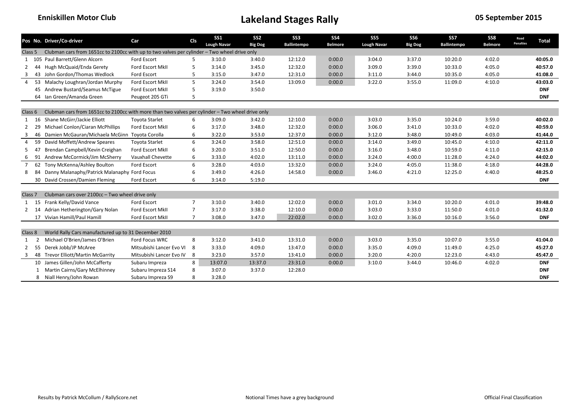|                    |    | Pos No. Driver/Co-driver                                                                         | Car                      | <b>CIs</b>     | SS <sub>1</sub><br><b>Lough Navar</b> | SS <sub>2</sub><br><b>Big Dog</b> | SS <sub>3</sub><br>Ballintempo | SS <sub>4</sub><br><b>Belmore</b> | SS <sub>5</sub><br><b>Lough Navar</b> | SS <sub>6</sub><br><b>Big Dog</b> | SS7<br><b>Ballintempo</b> | SS8<br><b>Belmore</b> | Road<br><b>Penalties</b> | <b>Total</b> |
|--------------------|----|--------------------------------------------------------------------------------------------------|--------------------------|----------------|---------------------------------------|-----------------------------------|--------------------------------|-----------------------------------|---------------------------------------|-----------------------------------|---------------------------|-----------------------|--------------------------|--------------|
| Class 5            |    | Clubman cars from 1651cc to 2100cc with up to two valves per cylinder - Two wheel drive only     |                          |                |                                       |                                   |                                |                                   |                                       |                                   |                           |                       |                          |              |
|                    |    | 1 105 Paul Barrett/Glenn Alcorn                                                                  | Ford Escort              | 5              | 3:10.0                                | 3:40.0                            | 12:12.0                        | 0:00.0                            | 3:04.0                                | 3:37.0                            | 10:20.0                   | 4:02.0                |                          | 40:05.0      |
|                    |    | Hugh McQuaid/Enda Gerety                                                                         | Ford Escort MkII         | 5              | 3:14.0                                | 3:45.0                            | 12:32.0                        | 0:00.0                            | 3:09.0                                | 3:39.0                            | 10:33.0                   | 4:05.0                |                          | 40:57.0      |
| 3                  | 43 | John Gordon/Thomas Wedlock                                                                       | Ford Escort              | 5              | 3:15.0                                | 3:47.0                            | 12:31.0                        | 0:00.0                            | 3:11.0                                | 3:44.0                            | 10:35.0                   | 4:05.0                |                          | 41:08.0      |
| 4                  |    | 53 Malachy Loughran/Jordan Murphy                                                                | Ford Escort MkII         | 5              | 3:24.0                                | 3:54.0                            | 13:09.0                        | 0:00.0                            | 3:22.0                                | 3:55.0                            | 11:09.0                   | 4:10.0                |                          | 43:03.0      |
|                    |    | 45 Andrew Bustard/Seamus McTigue                                                                 | Ford Escort MkII         | 5              | 3:19.0                                | 3:50.0                            |                                |                                   |                                       |                                   |                           |                       |                          | <b>DNF</b>   |
|                    |    | 64 Ian Green/Amanda Green                                                                        | Peugeot 205 GTi          | 5              |                                       |                                   |                                |                                   |                                       |                                   |                           |                       |                          | <b>DNF</b>   |
| Class 6            |    | Clubman cars from 1651cc to 2100cc with more than two valves per cylinder - Two wheel drive only |                          |                |                                       |                                   |                                |                                   |                                       |                                   |                           |                       |                          |              |
| 1                  | 16 | Shane McGirr/Jackie Elliott                                                                      | <b>Toyota Starlet</b>    | 6              | 3:09.0                                | 3:42.0                            | 12:10.0                        | 0:00.0                            | 3:03.0                                | 3:35.0                            | 10:24.0                   | 3:59.0                |                          | 40:02.0      |
|                    | 29 | Michael Conlon/Ciaran McPhillips                                                                 | Ford Escort MkII         | 6              | 3:17.0                                | 3:48.0                            | 12:32.0                        | 0:00.0                            | 3:06.0                                | 3:41.0                            | 10:33.0                   | 4:02.0                |                          | 40:59.0      |
| 3                  | 46 | Damien McGauran/Michaela McGinn                                                                  | Toyota Corolla           | 6              | 3:22.0                                | 3:53.0                            | 12:37.0                        | 0:00.0                            | 3:12.0                                | 3:48.0                            | 10:49.0                   | 4:03.0                |                          | 41:44.0      |
| 4                  |    | 59 David Moffett/Andrew Speares                                                                  | <b>Toyota Starlet</b>    | 6              | 3:24.0                                | 3:58.0                            | 12:51.0                        | 0:00.0                            | 3:14.0                                | 3:49.0                            | 10:45.0                   | 4:10.0                |                          | 42:11.0      |
| 5                  | 47 | Brendan Campbell/Kevin Creighan                                                                  | Ford Escort MkII         | 6              | 3:20.0                                | 3:51.0                            | 12:50.0                        | 0:00.0                            | 3:16.0                                | 3:48.0                            | 10:59.0                   | 4:11.0                |                          | 42:15.0      |
| 6                  | 91 | Andrew McCormick/Jim McSherry                                                                    | Vauxhall Chevette        | 6              | 3:33.0                                | 4:02.0                            | 13:11.0                        | 0:00.0                            | 3:24.0                                | 4:00.0                            | 11:28.0                   | 4:24.0                |                          | 44:02.0      |
| $\overline{7}$     | 62 | Tony McKenna/Ashley Boulton                                                                      | Ford Escort              | 6              | 3:28.0                                | 4:03.0                            | 13:32.0                        | 0:00.0                            | 3:24.0                                | 4:05.0                            | 11:38.0                   | 4:18.0                |                          | 44:28.0      |
| 8                  |    | Danny Malanaphy/Patrick Malanaphy Ford Focus                                                     |                          | 6              | 3:49.0                                | 4:26.0                            | 14:58.0                        | 0:00.0                            | 3:46.0                                | 4:21.0                            | 12:25.0                   | 4:40.0                |                          | 48:25.0      |
|                    |    | 30 David Crossen/Damien Fleming                                                                  | Ford Escort              | 6              | 3:14.0                                | 5:19.0                            |                                |                                   |                                       |                                   |                           |                       |                          | <b>DNF</b>   |
|                    |    |                                                                                                  |                          |                |                                       |                                   |                                |                                   |                                       |                                   |                           |                       |                          |              |
| Class <sub>7</sub> |    | Clubman cars over 2100cc - Two wheel drive only                                                  |                          |                |                                       |                                   |                                |                                   |                                       |                                   |                           |                       |                          |              |
| 1                  | 15 | Frank Kelly/David Vance                                                                          | <b>Ford Escort</b>       | $\overline{7}$ | 3:10.0                                | 3:40.0                            | 12:02.0                        | 0:00.0                            | 3:01.0                                | 3:34.0                            | 10:20.0                   | 4:01.0                |                          | 39:48.0      |
| 2                  | 14 | Adrian Hetherington/Gary Nolan                                                                   | Ford Escort MkII         | $\overline{7}$ | 3:17.0                                | 3:38.0                            | 12:10.0                        | 0:00.0                            | 3:03.0                                | 3:33.0                            | 11:50.0                   | 4:01.0                |                          | 41:32.0      |
|                    |    | 17 Vivian Hamill/Paul Hamill                                                                     | Ford Escort MkII         | $\overline{7}$ | 3:08.0                                | 3:47.0                            | 22:02.0                        | 0:00.0                            | 3:02.0                                | 3:36.0                            | 10:16.0                   | 3:56.0                |                          | <b>DNF</b>   |
|                    |    |                                                                                                  |                          |                |                                       |                                   |                                |                                   |                                       |                                   |                           |                       |                          |              |
| Class 8            |    | World Rally Cars manufactured up to 31 December 2010                                             |                          |                |                                       |                                   |                                |                                   |                                       |                                   |                           |                       |                          |              |
| 1                  | 2  | Michael O'Brien/James O'Brien                                                                    | Ford Focus WRC           | 8              | 3:12.0                                | 3:41.0                            | 13:31.0                        | 0:00.0                            | 3:03.0                                | 3:35.0                            | 10:07.0                   | 3:55.0                |                          | 41:04.0      |
| $\mathbf{2}$       | 55 | Derek Jobb/JP McAree                                                                             | Mitsubishi Lancer Evo VI | 8              | 3:33.0                                | 4:09.0                            | 13:47.0                        | 0:00.0                            | 3:35.0                                | 4:09.0                            | 11:49.0                   | 4:25.0                |                          | 45:27.0      |
| 3                  |    | 48 Trevor Elliott/Martin McGarrity                                                               | Mitsubishi Lancer Evo IV | - 8            | 3:23.0                                | 3:57.0                            | 13:41.0                        | 0:00.0                            | 3:20.0                                | 4:20.0                            | 12:23.0                   | 4:43.0                |                          | 45:47.0      |
|                    |    | 10 James Gillen/John McCafferty                                                                  | Subaru Impreza           | 8              | 13:07.0                               | 13:37.0                           | 23:31.0                        | 0:00.0                            | 3:10.0                                | 3:44.0                            | 10:46.0                   | 4:02.0                |                          | <b>DNF</b>   |
|                    |    | Martin Cairns/Gary McElhinney                                                                    | Subaru Impreza S14       | 8              | 3:07.0                                | 3:37.0                            | 12:28.0                        |                                   |                                       |                                   |                           |                       |                          | <b>DNF</b>   |
|                    |    | 8 Niall Henry/John Rowan                                                                         | Subaru Impreza S9        | 8              | 3:28.0                                |                                   |                                |                                   |                                       |                                   |                           |                       |                          | <b>DNF</b>   |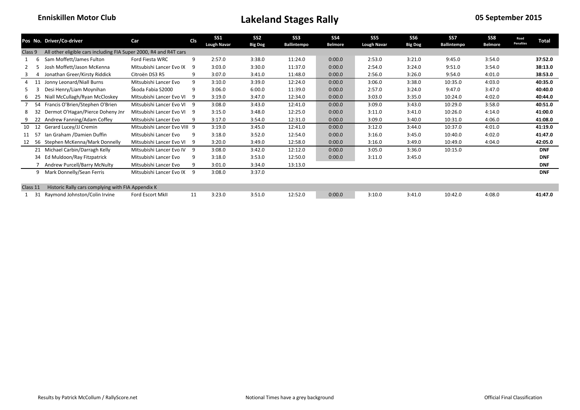|          |     | Pos No. Driver/Co-driver                                          | Car                          | <b>CIs</b> | SS <sub>1</sub><br><b>Lough Navar</b> | SS <sub>2</sub><br><b>Big Dog</b> | SS <sub>3</sub><br><b>Ballintempo</b> | SS <sub>4</sub><br><b>Belmore</b> | SS <sub>5</sub><br><b>Lough Navar</b> | SS <sub>6</sub><br><b>Big Dog</b> | SS7<br><b>Ballintempo</b> | SS8<br><b>Belmore</b> | Road<br><b>Penalties</b> | Total      |
|----------|-----|-------------------------------------------------------------------|------------------------------|------------|---------------------------------------|-----------------------------------|---------------------------------------|-----------------------------------|---------------------------------------|-----------------------------------|---------------------------|-----------------------|--------------------------|------------|
| Class 9  |     | All other eligible cars including FIA Super 2000, R4 and R4T cars |                              |            |                                       |                                   |                                       |                                   |                                       |                                   |                           |                       |                          |            |
|          | b   | Sam Moffett/James Fulton                                          | Ford Fiesta WRC              | 9          | 2:57.0                                | 3:38.0                            | 11:24.0                               | 0:00.0                            | 2:53.0                                | 3:21.0                            | 9:45.0                    | 3:54.0                |                          | 37:52.0    |
|          |     | Josh Moffett/Jason McKenna                                        | Mitsubishi Lancer Evo IX     | 9          | 3:03.0                                | 3:30.0                            | 11:37.0                               | 0:00.0                            | 2:54.0                                | 3:24.0                            | 9:51.0                    | 3:54.0                |                          | 38:13.0    |
|          |     | Jonathan Greer/Kirsty Riddick                                     | Citroën DS3 R5               | 9          | 3:07.0                                | 3:41.0                            | 11:48.0                               | 0:00.0                            | 2:56.0                                | 3:26.0                            | 9:54.0                    | 4:01.0                |                          | 38:53.0    |
| 4        |     | Jonny Leonard/Niall Burns                                         | Mitsubishi Lancer Evo        | 9          | 3:10.0                                | 3:39.0                            | 12:24.0                               | 0:00.0                            | 3:06.0                                | 3:38.0                            | 10:35.0                   | 4:03.0                |                          | 40:35.0    |
|          |     | Desi Henry/Liam Moynihan                                          | Škoda Fabia S2000            | 9          | 3:06.0                                | 6:00.0                            | 11:39.0                               | 0:00.0                            | 2:57.0                                | 3:24.0                            | 9:47.0                    | 3:47.0                |                          | 40:40.0    |
| 6        | 25  | Niall McCullagh/Ryan McCloskey                                    | Mitsubishi Lancer Evo VI     | 9          | 3:19.0                                | 3:47.0                            | 12:34.0                               | 0:00.0                            | 3:03.0                                | 3:35.0                            | 10:24.0                   | 4:02.0                |                          | 40:44.0    |
|          | 54  | Francis O'Brien/Stephen O'Brien                                   | Mitsubishi Lancer Evo VI     | 9          | 3:08.0                                | 3:43.0                            | 12:41.0                               | 0:00.0                            | 3:09.0                                | 3:43.0                            | 10:29.0                   | 3:58.0                |                          | 40:51.0    |
|          |     | Dermot O'Hagan/Pierce Doheny Jnr                                  | Mitsubishi Lancer Evo VI     | 9          | 3:15.0                                | 3:48.0                            | 12:25.0                               | 0:00.0                            | 3:11.0                                | 3:41.0                            | 10:26.0                   | 4:14.0                |                          | 41:00.0    |
|          |     | Andrew Fanning/Adam Coffey                                        | Mitsubishi Lancer Evo        | q          | 3:17.0                                | 3:54.0                            | 12:31.0                               | 0:00.0                            | 3:09.0                                | 3:40.0                            | 10:31.0                   | 4:06.0                |                          | 41:08.0    |
| 10 12    |     | Gerard Lucey/JJ Cremin                                            | Mitsubishi Lancer Evo VIII 9 |            | 3:19.0                                | 3:45.0                            | 12:41.0                               | 0:00.0                            | 3:12.0                                | 3:44.0                            | 10:37.0                   | 4:01.0                |                          | 41:19.0    |
|          | -57 | Ian Graham /Damien Duffin                                         | Mitsubishi Lancer Evo        | 9          | 3:18.0                                | 3:52.0                            | 12:54.0                               | 0:00.0                            | 3:16.0                                | 3:45.0                            | 10:40.0                   | 4:02.0                |                          | 41:47.0    |
|          | 56  | Stephen McKenna/Mark Donnelly                                     | Mitsubishi Lancer Evo VI     | -9         | 3:20.0                                | 3:49.0                            | 12:58.0                               | 0:00.0                            | 3:16.0                                | 3:49.0                            | 10:49.0                   | 4:04.0                |                          | 42:05.0    |
|          | 21  | Michael Carbin/Darragh Kelly                                      | Mitsubishi Lancer Evo IV     | -9         | 3:08.0                                | 3:42.0                            | 12:12.0                               | 0:00.0                            | 3:05.0                                | 3:36.0                            | 10:15.0                   |                       |                          | <b>DNF</b> |
|          | 34  | Ed Muldoon/Ray Fitzpatrick                                        | Mitsubishi Lancer Evo        | 9          | 3:18.0                                | 3:53.0                            | 12:50.0                               | 0:00.0                            | 3:11.0                                | 3:45.0                            |                           |                       |                          | <b>DNF</b> |
|          |     | Andrew Purcell/Barry McNulty                                      | Mitsubishi Lancer Evo        | q          | 3:01.0                                | 3:34.0                            | 13:13.0                               |                                   |                                       |                                   |                           |                       |                          | <b>DNF</b> |
|          | 9   | Mark Donnelly/Sean Ferris                                         | Mitsubishi Lancer Evo IX     | -9         | 3:08.0                                | 3:37.0                            |                                       |                                   |                                       |                                   |                           |                       |                          | <b>DNF</b> |
|          |     |                                                                   |                              |            |                                       |                                   |                                       |                                   |                                       |                                   |                           |                       |                          |            |
| Class 11 |     | Historic Rally cars complying with FIA Appendix K                 |                              |            |                                       |                                   |                                       |                                   |                                       |                                   |                           |                       |                          |            |
|          | 31  | Raymond Johnston/Colin Irvine                                     | <b>Ford Escort MkII</b>      | 11         | 3:23.0                                | 3:51.0                            | 12:52.0                               | 0:00.0                            | 3:10.0                                | 3:41.0                            | 10:42.0                   | 4:08.0                |                          | 41:47.0    |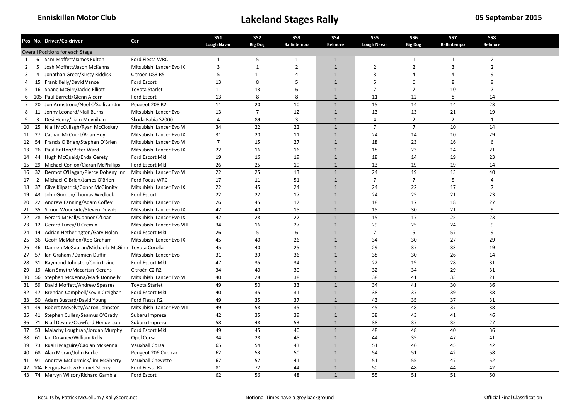|                |                | Pos No. Driver/Co-driver                          | Car                        | <b>SS1</b><br><b>Lough Navar</b> | SS <sub>2</sub><br><b>Big Dog</b> | SS <sub>3</sub><br><b>Ballintempo</b> | SS <sub>4</sub><br><b>Belmore</b> | SS <sub>5</sub><br><b>Lough Navar</b> | <b>SS6</b><br><b>Big Dog</b> | SS7<br><b>Ballintempo</b> | SS8<br><b>Belmore</b> |  |
|----------------|----------------|---------------------------------------------------|----------------------------|----------------------------------|-----------------------------------|---------------------------------------|-----------------------------------|---------------------------------------|------------------------------|---------------------------|-----------------------|--|
|                |                | <b>Overall Positions for each Stage</b>           |                            |                                  |                                   |                                       |                                   |                                       |                              |                           |                       |  |
| 1              |                | 6 Sam Moffett/James Fulton                        | Ford Fiesta WRC            | $\mathbf{1}$                     | 5                                 | $\mathbf{1}$                          | $\mathbf{1}$                      | $\mathbf{1}$                          | $\mathbf{1}$                 | $\mathbf{1}$              | $\overline{2}$        |  |
| $\overline{2}$ |                | 5 Josh Moffett/Jason McKenna                      | Mitsubishi Lancer Evo IX   | 3                                | $\mathbf{1}$                      | $\overline{2}$                        | $\overline{1}$                    | $\overline{2}$                        | $\overline{2}$               | 3                         | $\overline{2}$        |  |
| 3              | $\overline{4}$ | Jonathan Greer/Kirsty Riddick                     | Citroën DS3 R5             | 5                                | 11                                | $\overline{4}$                        | $\overline{1}$                    | 3                                     | $\overline{4}$               | 4                         | 9                     |  |
| $\overline{4}$ |                | 15 Frank Kelly/David Vance                        | Ford Escort                | 13                               | 8                                 | 5                                     | $\mathbf{1}$                      | 5                                     | 6                            | 8                         | 9                     |  |
| 5              |                | 16 Shane McGirr/Jackie Elliott                    | Toyota Starlet             | 11                               | 13                                | 6                                     | $\mathbf{1}$                      | $\overline{7}$                        | $\overline{7}$               | 10                        | $\overline{7}$        |  |
| 6              |                | 105 Paul Barrett/Glenn Alcorn                     | Ford Escort                | 13                               | 8                                 | 8                                     | $\mathbf{1}$                      | 11                                    | 12                           | 8                         | 14                    |  |
| $\overline{7}$ |                | 20 Jon Armstrong/Noel O'Sullivan Jnr              | Peugeot 208 R2             | 11                               | 20                                | 10                                    | $\mathbf{1}$                      | 15                                    | 14                           | 14                        | 23                    |  |
| 8              |                | 11 Jonny Leonard/Niall Burns                      | Mitsubishi Lancer Evo      | 13                               | $\overline{7}$                    | 12                                    | $\mathbf{1}$                      | 13                                    | 13                           | 21                        | 19                    |  |
| 9              | 3              | Desi Henry/Liam Moynihan                          | Škoda Fabia S2000          | $\overline{4}$                   | 89                                | 3                                     | $\overline{1}$                    | $\overline{4}$                        | $\overline{2}$               | $\overline{2}$            | $\mathbf{1}$          |  |
| 10             | 25             | Niall McCullagh/Ryan McCloskey                    | Mitsubishi Lancer Evo VI   | 34                               | 22                                | 22                                    | $\mathbf{1}$                      | $\overline{7}$                        | $\overline{7}$               | 10                        | 14                    |  |
|                |                | 11 27 Cathan McCourt/Brian Hoy                    | Mitsubishi Lancer Evo IX   | 31                               | 20                                | 11                                    | $\overline{1}$                    | 24                                    | 14                           | 10                        | 29                    |  |
|                |                | 54 Francis O'Brien/Stephen O'Brien                | Mitsubishi Lancer Evo VI   | $\overline{7}$                   | 15                                | 27                                    | $\mathbf{1}$                      | 18                                    | 23                           | 16                        | 6                     |  |
| 12             |                | 13 26 Paul Britton/Peter Ward                     |                            | 22                               | 16                                | 16                                    | $\mathbf{1}$                      | 18                                    | 23                           | 14                        | 21                    |  |
|                |                |                                                   | Mitsubishi Lancer Evo IX   |                                  |                                   |                                       |                                   |                                       |                              |                           |                       |  |
| 14             |                | 44 Hugh McQuaid/Enda Gerety                       | Ford Escort MkII           | 19                               | 16                                | 19                                    | $\mathbf{1}$                      | 18                                    | 14                           | 19                        | 23                    |  |
| 15             |                | 29 Michael Conlon/Ciaran McPhillips               | Ford Escort MkII           | 26                               | 25                                | 19                                    | $\mathbf{1}$                      | 13                                    | 19                           | 19                        | 14                    |  |
|                |                | 16 32 Dermot O'Hagan/Pierce Doheny Jnr            | Mitsubishi Lancer Evo VI   | 22                               | 25                                | 13                                    | $\mathbf{1}$                      | 24                                    | 19                           | 13                        | 40                    |  |
| 17             | 2              | Michael O'Brien/James O'Brien                     | <b>Ford Focus WRC</b>      | 17                               | 11                                | 51                                    | $\overline{1}$                    | $\overline{7}$                        | $\overline{7}$               | 5                         | $\overline{4}$        |  |
|                |                | 18 37 Clive Kilpatrick/Conor McGinnity            | Mitsubishi Lancer Evo IX   | 22                               | 45                                | 24                                    | $\overline{1}$                    | 24                                    | 22                           | 17                        | $\overline{7}$        |  |
| 19             |                | 43 John Gordon/Thomas Wedlock                     | Ford Escort                | 22                               | 22                                | 17                                    | $\mathbf{1}$                      | 24                                    | 25                           | 21                        | 23                    |  |
| 20             |                | 22 Andrew Fanning/Adam Coffey                     | Mitsubishi Lancer Evo      | 26                               | 45                                | 17                                    | $\mathbf{1}$                      | 18                                    | 17                           | 18                        | 27                    |  |
| 21             |                | 35 Simon Woodside/Steven Dowds                    | Mitsubishi Lancer Evo IX   | 42                               | 40                                | 15                                    | $\overline{1}$                    | 15                                    | 30                           | 21                        | 9                     |  |
|                |                | 22 28 Gerard McFall/Connor O'Loan                 | Mitsubishi Lancer Evo IX   | 42                               | 28                                | 22                                    | $\mathbf{1}$                      | 15                                    | 17                           | 25                        | 23                    |  |
|                |                | 23 12 Gerard Lucey/JJ Cremin                      | Mitsubishi Lancer Evo VIII | 34                               | 16                                | 27                                    | $\mathbf{1}$                      | 29                                    | 25                           | 24                        | 9                     |  |
|                |                | 24 14 Adrian Hetherington/Gary Nolan              | Ford Escort MkII           | 26                               | 5                                 | 6                                     | $\overline{1}$                    | $\overline{7}$                        | 5                            | 57                        | 9                     |  |
| 25             | 36             | Geoff McMahon/Rob Graham                          | Mitsubishi Lancer Evo IX   | 45                               | 40                                | 26                                    | $\mathbf{1}$                      | 34                                    | 30                           | 27                        | 29                    |  |
| 26             |                | 46 Damien McGauran/Michaela McGinn Toyota Corolla |                            | 45                               | 40                                | 25                                    | $\mathbf{1}$                      | 29                                    | 37                           | 33                        | 19                    |  |
|                |                | 27 57 Ian Graham / Damien Duffin                  | Mitsubishi Lancer Evo      | 31                               | 39                                | 36                                    | $\mathbf{1}$                      | 38                                    | 30                           | 26                        | 14                    |  |
| 28             | 31             | Raymond Johnston/Colin Irvine                     | Ford Escort MkII           | 47                               | 35                                | 34                                    | $\mathbf{1}$                      | $\overline{22}$                       | 19                           | 28                        | 31                    |  |
|                |                | 29 19 Alan Smyth/Macartan Kierans                 | Citroën C2 R2              | 34                               | 40                                | 30                                    | $\overline{1}$                    | 32                                    | 34                           | 29                        | 31                    |  |
| 30             |                | 56 Stephen McKenna/Mark Donnelly                  | Mitsubishi Lancer Evo VI   | 40                               | 28                                | 38                                    | $\mathbf{1}$                      | 38                                    | 41                           | 33                        | 21                    |  |
| 31             | 59             | David Moffett/Andrew Speares                      | <b>Toyota Starlet</b>      | 49                               | 50                                | 33                                    | $\mathbf{1}$                      | 34                                    | 41                           | 30                        | 36                    |  |
|                | 32 47          | Brendan Campbell/Kevin Creighan                   | Ford Escort MkII           | 40                               | 35                                | 31                                    | $\mathbf{1}$                      | 38                                    | 37                           | 39                        | 38                    |  |
| 33             |                | 50 Adam Bustard/David Young                       | Ford Fiesta R2             | 49                               | 35                                | 37                                    | $\mathbf{1}$                      | 43                                    | 35                           | 37                        | 31                    |  |
| 34             | 49             | Robert McKelvey/Aaron Johnston                    | Mitsubishi Lancer Evo VIII | 49                               | 58                                | 35                                    | $\mathbf{1}$                      | 45                                    | 48                           | 37                        | 38                    |  |
|                |                | 35 41 Stephen Cullen/Seamus O'Grady               | Subaru Impreza             | 42                               | 35                                | 39                                    | $\overline{1}$                    | 38                                    | 43                           | 41                        | 46                    |  |
| 36             |                | 71 Niall Devine/Crawford Henderson                | Subaru Impreza             | 58                               | 48                                | 53                                    | $\mathbf{1}$                      | 38                                    | 37                           | 35                        | 27                    |  |
| 37             |                | 53 Malachy Loughran/Jordan Murphy                 | Ford Escort MkII           | 49                               | 45                                | 40                                    | $\overline{1}$                    | 48                                    | 48                           | 40                        | 36                    |  |
|                |                | 38 61 Ian Downey/William Kelly                    | Opel Corsa                 | 34                               | 28                                | 45                                    | $\overline{1}$                    | 44                                    | 35                           | 47                        | 41                    |  |
| 39             | 73             | Ruairi Maguire/Caolan McKenna                     | Vauxhall Corsa             | 65                               | 54                                | 43                                    | $\mathbf{1}$                      | 51                                    | 46                           | 45                        | 42                    |  |
| 40             |                | 68 Alan Moran/John Burke                          | Peugeot 206 Cup car        | 62                               | 53                                | 50                                    | $\mathbf{1}$                      | 54                                    | 51                           | 42                        | 58                    |  |
|                |                | 41 91 Andrew McCormick/Jim McSherry               | Vauxhall Chevette          | 67                               | 57                                | 41                                    | $\mathbf{1}$                      | 51                                    | 55                           | 47                        | 52                    |  |
|                |                | 42 104 Fergus Barlow/Emmet Sherry                 | Ford Fiesta R2             | 81                               | 72                                | 44                                    | $\mathbf{1}$                      | 50                                    | 48                           | 44                        | 42                    |  |
|                |                | 43 74 Mervyn Wilson/Richard Gamble                | Ford Escort                | 62                               | 56                                | 48                                    | $\overline{1}$                    | 55                                    | 51                           | 51                        | 50                    |  |
|                |                |                                                   |                            |                                  |                                   |                                       |                                   |                                       |                              |                           |                       |  |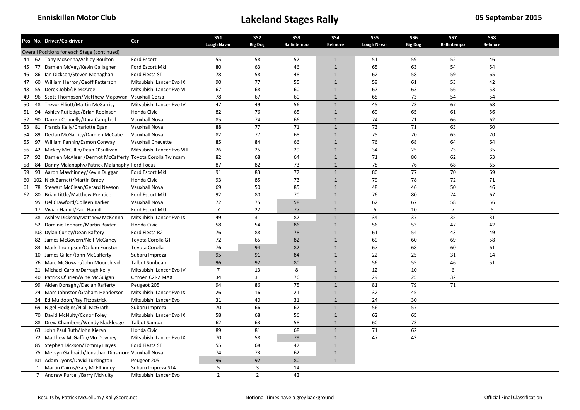|    |    | Pos No. Driver/Co-driver                                    | Car                        | <b>SS1</b><br><b>Lough Navar</b> | SS <sub>2</sub> | SS <sub>3</sub><br>Ballintempo | <b>SS4</b>     | SS <sub>5</sub><br><b>Lough Navar</b> | <b>SS6</b>     | SS7<br><b>Ballintempo</b> | SS8<br><b>Belmore</b> |  |
|----|----|-------------------------------------------------------------|----------------------------|----------------------------------|-----------------|--------------------------------|----------------|---------------------------------------|----------------|---------------------------|-----------------------|--|
|    |    | Overall Positions for each Stage (continued)                |                            |                                  | <b>Big Dog</b>  |                                | <b>Belmore</b> |                                       | <b>Big Dog</b> |                           |                       |  |
|    |    | 44 62 Tony McKenna/Ashley Boulton                           | Ford Escort                | 55                               | 58              | 52                             | $\mathbf{1}$   | 51                                    | 59             | 52                        | 46                    |  |
| 45 |    | 77 Damien McVey/Kevin Gallagher                             | Ford Escort MkII           | 80                               | 63              | 46                             | $\overline{1}$ | 65                                    | 63             | 54                        | 54                    |  |
| 46 |    | 86 Ian Dickson/Steven Monaghan                              | Ford Fiesta ST             | 78                               | 58              | 48                             | $\mathbf{1}$   | 62                                    | 58             | 59                        | 65                    |  |
| 47 | 60 | William Herron/Geoff Patterson                              | Mitsubishi Lancer Evo IX   | 90                               | 77              | 55                             | $\mathbf{1}$   | 59                                    | 61             | 53                        | 42                    |  |
| 48 |    | 55 Derek Jobb/JP McAree                                     | Mitsubishi Lancer Evo VI   | 67                               | 68              | 60                             | $\mathbf{1}$   | 67                                    | 63             | 56                        | 53                    |  |
| 49 |    | 96 Scott Thompson/Matthew Magowan Vauxhall Corsa            |                            | 78                               | 67              | 60                             | $\mathbf{1}$   | 65                                    | 73             | 54                        | 54                    |  |
| 50 | 48 | <b>Trevor Elliott/Martin McGarrity</b>                      | Mitsubishi Lancer Evo IV   | 47                               | 49              | 56                             | $\mathbf{1}$   | 45                                    | 73             | 67                        | 68                    |  |
|    |    |                                                             | Honda Civic                | 82                               | 76              |                                | $\mathbf{1}$   | 69                                    | 65             |                           | 56                    |  |
|    |    | 51 94 Ashley Rutledge/Brian Robinson                        |                            |                                  |                 | 65                             |                |                                       |                | 61                        |                       |  |
| 52 | 90 | Darren Connelly/Dara Campbell                               | Vauxhall Nova              | 85                               | 74              | 66                             | $\mathbf{1}$   | 74                                    | 71             | 66                        | 62                    |  |
|    |    | 53 81 Francis Kelly/Charlotte Egan                          | Vauxhall Nova              | 88                               | 77              | 71                             | $\overline{1}$ | 73                                    | 71             | 63                        | 60                    |  |
| 54 | 89 | Declan McGarrity/Damien McCabe                              | Vauxhall Nova              | 82                               | 77              | 68                             | $\mathbf{1}$   | 75                                    | 70             | 65                        | 70                    |  |
| 55 | 97 | William Fannin/Eamon Conway                                 | Vauxhall Chevette          | 85                               | 84              | 66                             | $\mathbf{1}$   | 76                                    | 68             | 64                        | 64                    |  |
| 56 |    | 42 Mickey McGillin/Dean O'Sullivan                          | Mitsubishi Lancer Evo VIII | 26                               | 25              | 29                             | $\mathbf{1}$   | 34                                    | 25             | 73                        | 35                    |  |
| 57 |    | 92 Damien McAleer /Dermot McCafferty Toyota Corolla Twincam |                            | 82                               | 68              | 64                             | $\mathbf{1}$   | 71                                    | 80             | 62                        | 63                    |  |
| 58 | 84 | Danny Malanaphy/Patrick Malanaphy Ford Focus                |                            | 87                               | 82              | 73                             | $\mathbf{1}$   | 78                                    | 76             | 68                        | 65                    |  |
|    |    | 59 93 Aaron Mawhinney/Kevin Duggan                          | Ford Escort MkII           | 91                               | 83              | 72                             | $\mathbf{1}$   | 80                                    | 77             | 70                        | 69                    |  |
|    |    | 60 102 Nick Barnett/Martin Brady                            | Honda Civic                | 93                               | 85              | 73                             | $\mathbf{1}$   | 79                                    | 78             | 72                        | 71                    |  |
| 61 |    | 78 Stewart McClean/Gerard Neeson                            | Vauxhall Nova              | 69                               | 50              | 85                             | $\overline{1}$ | 48                                    | 46             | 50                        | 46                    |  |
| 62 | 80 | <b>Brian Little/Matthew Prentice</b>                        | Ford Escort MkII           | 92                               | 80              | 70                             | $\mathbf{1}$   | 76                                    | 80             | 74                        | 67                    |  |
|    |    | 95 Uel Crawford/Colleen Barker                              | Vauxhall Nova              | 72                               | 75              | 58                             | $\mathbf{1}$   | 62                                    | 67             | 58                        | 56                    |  |
|    |    | 17 Vivian Hamill/Paul Hamill                                | Ford Escort MkII           | 7                                | 22              | 77                             | $\mathbf{1}$   | 6                                     | 10             | 7                         | 5                     |  |
|    |    | 38 Ashley Dickson/Matthew McKenna                           | Mitsubishi Lancer Evo IX   | 49                               | 31              | 87                             | $\mathbf{1}$   | 34                                    | 37             | 35                        | 31                    |  |
|    |    | 52 Dominic Leonard/Martin Baxter                            | Honda Civic                | 58                               | 54              | 86                             | $\mathbf{1}$   | 56                                    | 53             | 47                        | 42                    |  |
|    |    | 103 Dylan Curley/Dean Raftery                               | Ford Fiesta R2             | 76                               | 88              | 78                             | $\mathbf{1}$   | 61                                    | 54             | 43                        | 49                    |  |
|    |    | 82 James McGovern/Neil McGahey                              | Toyota Corolla GT          | 72                               | 65              | 82                             | $\mathbf{1}$   | 69                                    | 60             | 69                        | 58                    |  |
|    |    | 83 Mark Thompson/Callum Funston                             | Toyota Corolla             | 76                               | 94              | 82                             | $\mathbf{1}$   | 67                                    | 68             | 60                        | 61                    |  |
|    |    | 10 James Gillen/John McCafferty                             | Subaru Impreza             | 95                               | 91              | 84                             | $\mathbf{1}$   | 22                                    | 25             | 31                        | 14                    |  |
|    |    | 76 Marc McGowan/John Moorehead                              | <b>Talbot Sunbeam</b>      | 96                               | 92              | 80                             | $\mathbf{1}$   | 56                                    | 55             | 46                        | 51                    |  |
|    |    | 21 Michael Carbin/Darragh Kelly                             | Mitsubishi Lancer Evo IV   | $\overline{7}$                   | 13              | 8                              | $\mathbf{1}$   | 12                                    | 10             | 6                         |                       |  |
|    |    | 40 Patrick O'Brien/Aine McGuigan                            | Citroën C2R2 MAX           | 34                               | 31              | 76                             | $\overline{1}$ | 29                                    | 25             | 32                        |                       |  |
|    |    | 99 Aiden Donaghy/Declan Rafferty                            | Peugeot 205                | 94                               | 86              | 75                             | $\mathbf{1}$   | 81                                    | 79             | 71                        |                       |  |
|    |    | 24 Marc Johnston/Graham Henderson                           | Mitsubishi Lancer Evo IX   | 26                               | 16              | 21                             | $\overline{1}$ | 32                                    | 45             |                           |                       |  |
|    |    | 34 Ed Muldoon/Ray Fitzpatrick                               | Mitsubishi Lancer Evo      | 31                               | 40              | 31                             | $\mathbf{1}$   | 24                                    | 30             |                           |                       |  |
|    |    | 69 Nigel Hodgins/Niall McGrath                              | Subaru Impreza             | 70                               | 66              | 62                             | $\mathbf{1}$   | 56                                    | 57             |                           |                       |  |
|    |    | 70 David McNulty/Conor Foley                                | Mitsubishi Lancer Evo IX   | 58                               | 68              | 56                             | $\mathbf{1}$   | 62                                    | 65             |                           |                       |  |
|    |    | 88 Drew Chambers/Wendy Blackledge                           | Talbot Samba               | 62                               | 63              | 58                             | $\overline{1}$ | 60                                    | 73             |                           |                       |  |
|    |    | 63 John Paul Ruth/John Kieran                               | Honda Civic                | 89                               | 81              | 68                             | $\mathbf{1}$   | 71                                    | 62             |                           |                       |  |
|    |    | 72 Matthew McGaffin/Mo Downey                               | Mitsubishi Lancer Evo IX   | 70                               | 58              | 79                             | $\mathbf{1}$   | 47                                    | 43             |                           |                       |  |
|    |    | 85 Stephen Dickson/Tommy Hayes                              | Ford Fiesta ST             | 55                               | 68              | 47                             | $\overline{1}$ |                                       |                |                           |                       |  |
|    |    | 75 Mervyn Galbraith/Jonathan Dinsmore Vauxhall Nova         |                            | 74                               | 73              | 62                             | $\mathbf{1}$   |                                       |                |                           |                       |  |
|    |    | 101 Adam Lyons/David Turkington                             | Peugeot 205                | 96                               | 92              | 80                             | $\overline{1}$ |                                       |                |                           |                       |  |
|    |    | 1 Martin Cairns/Gary McElhinney                             | Subaru Impreza S14         | 5                                | 3               | 14                             |                |                                       |                |                           |                       |  |
|    |    | 7 Andrew Purcell/Barry McNulty                              | Mitsubishi Lancer Evo      | $\overline{2}$                   | $\overline{2}$  | 42                             |                |                                       |                |                           |                       |  |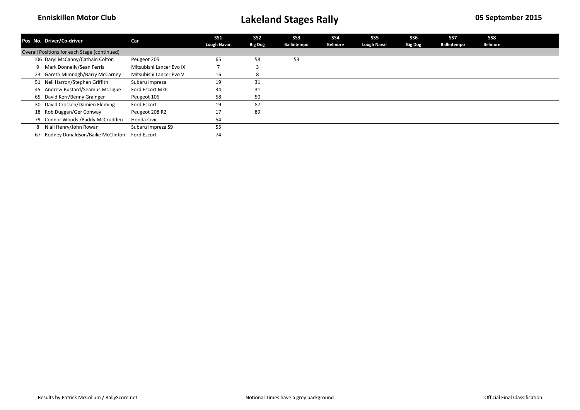| Pos No. Driver/Co-driver                     | Car                      | <b>SS1</b>         | SS <sub>2</sub> | SS <sub>3</sub> | SS <sub>4</sub> | SS5                | SS6            | SS7         | SS8            |  |
|----------------------------------------------|--------------------------|--------------------|-----------------|-----------------|-----------------|--------------------|----------------|-------------|----------------|--|
|                                              |                          | <b>Lough Navar</b> | <b>Big Dog</b>  | Ballintempo     | <b>Belmore</b>  | <b>Lough Navar</b> | <b>Big Dog</b> | Ballintempo | <b>Belmore</b> |  |
| Overall Positions for each Stage (continued) |                          |                    |                 |                 |                 |                    |                |             |                |  |
| 106 Daryl McCanny/Cathain Colton             | Peugeot 205              | 65                 | 58              | 53              |                 |                    |                |             |                |  |
| Mark Donnelly/Sean Ferris<br>9               | Mitsubishi Lancer Evo IX |                    |                 |                 |                 |                    |                |             |                |  |
| 23 Gareth Mimnagh/Barry McCarney             | Mitsubishi Lancer Evo V  | 16                 |                 |                 |                 |                    |                |             |                |  |
| 51 Neil Harron/Stephen Griffith              | Subaru Impreza           | 19                 | 31              |                 |                 |                    |                |             |                |  |
| 45 Andrew Bustard/Seamus McTigue             | Ford Escort MkII         | 34                 | 31              |                 |                 |                    |                |             |                |  |
| 65 David Kerr/Benny Grainger                 | Peugeot 106              | 58                 | 50              |                 |                 |                    |                |             |                |  |
| 30 David Crossen/Damien Fleming              | Ford Escort              | 19                 | 87              |                 |                 |                    |                |             |                |  |
| 18 Rob Duggan/Ger Conway                     | Peugeot 208 R2           | 17                 | 89              |                 |                 |                    |                |             |                |  |
| 79 Connor Woods / Paddy McCrudden            | Honda Civic              | 54                 |                 |                 |                 |                    |                |             |                |  |
| Niall Henry/John Rowan<br>8                  | Subaru Impreza S9        | 55                 |                 |                 |                 |                    |                |             |                |  |
| Rodney Donaldson/Bailie McClinton<br>67      | Ford Escort              | 74                 |                 |                 |                 |                    |                |             |                |  |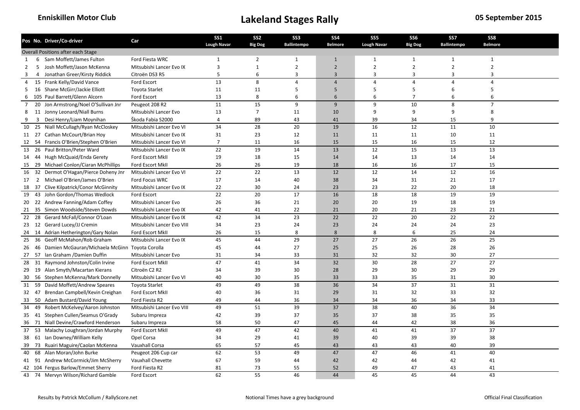|                |                | Pos No. Driver/Co-driver                             | Car                        | <b>SS1</b><br><b>Lough Navar</b> | SS <sub>2</sub><br><b>Big Dog</b> | SS <sub>3</sub><br><b>Ballintempo</b> | SS <sub>4</sub><br><b>Belmore</b> | SS <sub>5</sub><br><b>Lough Navar</b> | <b>SS6</b><br><b>Big Dog</b> | SS7<br><b>Ballintempo</b> | SS8<br><b>Belmore</b> |  |
|----------------|----------------|------------------------------------------------------|----------------------------|----------------------------------|-----------------------------------|---------------------------------------|-----------------------------------|---------------------------------------|------------------------------|---------------------------|-----------------------|--|
|                |                | Overall Positions after each Stage                   |                            |                                  |                                   |                                       |                                   |                                       |                              |                           |                       |  |
| 1              |                | 6 Sam Moffett/James Fulton                           | Ford Fiesta WRC            | $\mathbf{1}$                     | $\overline{2}$                    | $\mathbf{1}$                          | $\mathbf{1}$                      | $\mathbf{1}$                          | $\mathbf{1}$                 | $\mathbf{1}$              | $\mathbf{1}$          |  |
| $\overline{2}$ |                | 5 Josh Moffett/Jason McKenna                         | Mitsubishi Lancer Evo IX   | 3                                | $\mathbf{1}$                      | $\overline{2}$                        | $\overline{2}$                    | $\overline{2}$                        | $\overline{2}$               | $\overline{2}$            | $\overline{2}$        |  |
| 3              | $\overline{4}$ | Jonathan Greer/Kirsty Riddick                        | Citroën DS3 R5             | 5                                | 6                                 | 3                                     | $\overline{3}$                    | 3                                     | $\overline{3}$               | 3                         | 3                     |  |
| $\overline{4}$ |                | 15 Frank Kelly/David Vance                           | Ford Escort                | 13                               | 8                                 | $\overline{4}$                        | $\overline{4}$                    | $\overline{4}$                        | $\overline{4}$               | $\overline{4}$            | $\overline{4}$        |  |
| 5              |                | 16 Shane McGirr/Jackie Elliott                       | Toyota Starlet             | 11                               | 11                                | 5                                     | 5                                 | 5                                     | 5                            | 6                         | 5                     |  |
| 6              |                | 105 Paul Barrett/Glenn Alcorn                        | Ford Escort                | 13                               | 8                                 | 6                                     | 6                                 | 6                                     | $\overline{7}$               | 6                         | 6                     |  |
| $\overline{7}$ |                | 20 Jon Armstrong/Noel O'Sullivan Jnr                 | Peugeot 208 R2             | 11                               | 15                                | 9                                     | 9                                 | 9                                     | 10                           | 8                         | $\overline{7}$        |  |
| 8              |                | 11 Jonny Leonard/Niall Burns                         | Mitsubishi Lancer Evo      | 13                               | $\overline{7}$                    | 11                                    | 10                                | 9                                     | 9                            | 9                         | 8                     |  |
| 9              | 3              | Desi Henry/Liam Moynihan                             | Škoda Fabia S2000          | $\overline{4}$                   | 89                                | 43                                    | 41                                | 39                                    | 34                           | 15                        | 9                     |  |
| 10             |                | 25 Niall McCullagh/Ryan McCloskey                    | Mitsubishi Lancer Evo VI   | 34                               | 28                                | 20                                    | 19                                | 16                                    | 12                           | 11                        | 10                    |  |
|                |                | 11 27 Cathan McCourt/Brian Hoy                       | Mitsubishi Lancer Evo IX   | 31                               | 23                                | 12                                    | 11                                | 11                                    | 11                           | 10                        | 11                    |  |
| 12             |                | 54 Francis O'Brien/Stephen O'Brien                   | Mitsubishi Lancer Evo VI   | $\overline{7}$                   | 11                                | 16                                    | 15                                | 15                                    | 16                           | 15                        | 12                    |  |
|                |                | 13 26 Paul Britton/Peter Ward                        | Mitsubishi Lancer Evo IX   | 22                               | 19                                | 14                                    | 13                                | 12                                    | 15                           | 13                        | 13                    |  |
|                |                | 14 44 Hugh McQuaid/Enda Gerety                       | Ford Escort MkII           | 19                               | 18                                | 15                                    | 14                                | 14                                    | 13                           | 14                        | 14                    |  |
| 15             |                | 29 Michael Conlon/Ciaran McPhillips                  | Ford Escort MkII           | 26                               | 26                                | 19                                    | 18                                | 16                                    | 16                           | 17                        | 15                    |  |
|                |                | 16 32 Dermot O'Hagan/Pierce Doheny Jnr               | Mitsubishi Lancer Evo VI   | 22                               | 22                                | 13                                    | 12                                | 12                                    | 14                           | 12                        | 16                    |  |
|                |                | 2 Michael O'Brien/James O'Brien                      | <b>Ford Focus WRC</b>      | 17                               | 14                                | 40                                    | 38                                | 34                                    | 31                           | 21                        | 17                    |  |
| 17             |                |                                                      |                            | 22                               | 30                                |                                       |                                   |                                       |                              | 20                        |                       |  |
|                |                | 18 37 Clive Kilpatrick/Conor McGinnity               | Mitsubishi Lancer Evo IX   |                                  |                                   | 24                                    | 23                                | 23                                    | 22                           |                           | 18                    |  |
| 19             |                | 43 John Gordon/Thomas Wedlock                        | Ford Escort                | 22                               | 20                                | 17                                    | 16                                | 18                                    | 18                           | 19                        | 19                    |  |
| 20             |                | 22 Andrew Fanning/Adam Coffey                        | Mitsubishi Lancer Evo      | 26                               | 36                                | 21                                    | 20                                | 20                                    | 19                           | 18                        | 19                    |  |
| 21             |                | 35 Simon Woodside/Steven Dowds                       | Mitsubishi Lancer Evo IX   | 42                               | 41                                | 22                                    | 21                                | 20                                    | 21                           | 23                        | 21                    |  |
|                |                | 22 28 Gerard McFall/Connor O'Loan                    | Mitsubishi Lancer Evo IX   | 42                               | 34                                | 23                                    | 22                                | 22                                    | 20                           | 22                        | 22                    |  |
|                |                | 23 12 Gerard Lucey/JJ Cremin                         | Mitsubishi Lancer Evo VIII | 34                               | 23                                | 24                                    | 23                                | 24                                    | 24                           | 24                        | 23                    |  |
|                |                | 24 14 Adrian Hetherington/Gary Nolan                 | Ford Escort MkII           | 26                               | 15                                | 8                                     | 8                                 | 8                                     | 6                            | 25                        | 24                    |  |
| 25             | 36             | Geoff McMahon/Rob Graham                             | Mitsubishi Lancer Evo IX   | 45                               | 44                                | 29                                    | 27                                | 27                                    | $\overline{26}$              | 26                        | 25                    |  |
|                |                | 26 46 Damien McGauran/Michaela McGinn Toyota Corolla |                            | 45                               | 44                                | 27                                    | 25                                | 25                                    | 26                           | 28                        | 26                    |  |
|                |                | 27 57 Ian Graham / Damien Duffin                     | Mitsubishi Lancer Evo      | 31                               | 34                                | 33                                    | 31                                | 32                                    | 32                           | 30                        | 27                    |  |
| 28             | 31             | Raymond Johnston/Colin Irvine                        | Ford Escort MkII           | 47                               | 41                                | 34                                    | $\overline{32}$                   | 30                                    | 28                           | 27                        | 27                    |  |
|                |                | 29 19 Alan Smyth/Macartan Kierans                    | Citroën C2 R2              | 34                               | 39                                | 30                                    | 28                                | 29                                    | 30                           | 29                        | 29                    |  |
| 30             |                | 56 Stephen McKenna/Mark Donnelly                     | Mitsubishi Lancer Evo VI   | 40                               | 30                                | 35                                    | 33                                | 33                                    | 35                           | 31                        | 30                    |  |
| 31             | 59             | David Moffett/Andrew Speares                         | <b>Toyota Starlet</b>      | 49                               | 49                                | 38                                    | 36                                | 34                                    | 37                           | 31                        | 31                    |  |
| 32 47          |                | Brendan Campbell/Kevin Creighan                      | Ford Escort MkII           | 40                               | 36                                | 31                                    | 29                                | 31                                    | 32                           | 33                        | 32                    |  |
| 33             |                | 50 Adam Bustard/David Young                          | Ford Fiesta R2             | 49                               | 44                                | 36                                    | 34                                | 34                                    | 36                           | 34                        | 33                    |  |
| 34             | 49             | Robert McKelvey/Aaron Johnston                       | Mitsubishi Lancer Evo VIII | 49                               | 51                                | 39                                    | 37                                | 38                                    | 40                           | 36                        | 34                    |  |
|                |                | 35 41 Stephen Cullen/Seamus O'Grady                  | Subaru Impreza             | 42                               | 39                                | 37                                    | 35                                | 37                                    | 38                           | 35                        | 35                    |  |
|                |                | 36 71 Niall Devine/Crawford Henderson                | Subaru Impreza             | 58                               | 50                                | 47                                    | 45                                | 44                                    | 42                           | 38                        | 36                    |  |
| 37             |                | 53 Malachy Loughran/Jordan Murphy                    | Ford Escort MkII           | 49                               | 47                                | 42                                    | 40                                | 41                                    | 41                           | 37                        | 37                    |  |
|                |                | 38 61 Ian Downey/William Kelly                       | Opel Corsa                 | 34                               | 29                                | 41                                    | 39                                | 40                                    | 39                           | 39                        | 38                    |  |
| 39             | 73             | Ruairi Maguire/Caolan McKenna                        | Vauxhall Corsa             | 65                               | 57                                | 45                                    | 43                                | 43                                    | 43                           | 40                        | 39                    |  |
| 40             |                | 68 Alan Moran/John Burke                             | Peugeot 206 Cup car        | 62                               | 53                                | 49                                    | 47                                | 47                                    | 46                           | 41                        | 40                    |  |
|                |                | 41 91 Andrew McCormick/Jim McSherry                  | Vauxhall Chevette          | 67                               | 59                                | 44                                    | 42                                | 42                                    | 44                           | 42                        | 41                    |  |
|                |                | 42 104 Fergus Barlow/Emmet Sherry                    | Ford Fiesta R2             | 81                               | 73                                | 55                                    | 52                                | 49                                    | 47                           | 43                        | 41                    |  |
|                |                | 43 74 Mervyn Wilson/Richard Gamble                   | Ford Escort                | 62                               | 55                                | 46                                    | 44                                | 45                                    | 45                           | 44                        | 43                    |  |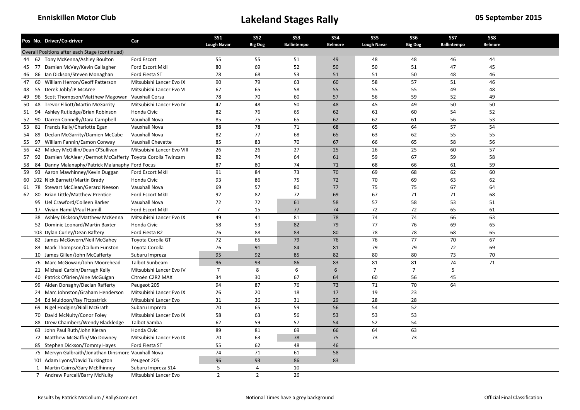|    |    | Pos No. Driver/Co-driver                                    | Car                        | <b>SS1</b><br><b>Lough Navar</b> | SS <sub>2</sub><br><b>Big Dog</b> | SS <sub>3</sub><br>Ballintempo | SS4<br><b>Belmore</b> | SS <sub>5</sub><br><b>Lough Navar</b> | SS <sub>6</sub><br><b>Big Dog</b> | SS7<br><b>Ballintempo</b> | SS8<br><b>Belmore</b> |  |
|----|----|-------------------------------------------------------------|----------------------------|----------------------------------|-----------------------------------|--------------------------------|-----------------------|---------------------------------------|-----------------------------------|---------------------------|-----------------------|--|
|    |    | Overall Positions after each Stage (continued)              |                            |                                  |                                   |                                |                       |                                       |                                   |                           |                       |  |
|    |    | 44 62 Tony McKenna/Ashley Boulton                           | Ford Escort                | 55                               | 55                                | 51                             | 49                    | 48                                    | 48                                | 46                        | 44                    |  |
| 45 |    | 77 Damien McVey/Kevin Gallagher                             | Ford Escort MkII           | 80                               | 69                                | 52                             | 50                    | 50                                    | 51                                | 47                        | 45                    |  |
| 46 |    | 86 Ian Dickson/Steven Monaghan                              | Ford Fiesta ST             | 78                               | 68                                | 53                             | 51                    | 51                                    | 50                                | 48                        | 46                    |  |
| 47 | 60 | William Herron/Geoff Patterson                              | Mitsubishi Lancer Evo IX   | 90                               | 79                                | 63                             | 60                    | 58                                    | 57                                | 51                        | 46                    |  |
| 48 |    | 55 Derek Jobb/JP McAree                                     | Mitsubishi Lancer Evo VI   | 67                               | 65                                | 58                             | 55                    | 55                                    | 55                                | 49                        | 48                    |  |
| 49 |    | 96 Scott Thompson/Matthew Magowan Vauxhall Corsa            |                            | 78                               | 70                                | 60                             | 57                    | 56                                    | 59                                | 52                        | 49                    |  |
| 50 | 48 | <b>Trevor Elliott/Martin McGarrity</b>                      | Mitsubishi Lancer Evo IV   | 47                               | 48                                | 50                             | 48                    | 45                                    | 49                                | 50                        | 50                    |  |
|    |    | 51 94 Ashley Rutledge/Brian Robinson                        | Honda Civic                | 82                               | 76                                | 65                             | 62                    | 61                                    | 60                                | 54                        | 52                    |  |
| 52 | 90 | Darren Connelly/Dara Campbell                               | Vauxhall Nova              | 85                               | 75                                | 65                             | 62                    | 62                                    | 61                                | 56                        | 53                    |  |
| 53 |    | 81 Francis Kelly/Charlotte Egan                             | Vauxhall Nova              | 88                               | 78                                | 71                             | 68                    | 65                                    | 64                                | 57                        | 54                    |  |
| 54 | 89 | Declan McGarrity/Damien McCabe                              | Vauxhall Nova              | 82                               | 77                                | 68                             | 65                    | 63                                    | 62                                | 55                        | 55                    |  |
| 55 | 97 | William Fannin/Eamon Conway                                 | Vauxhall Chevette          | 85                               | 83                                | 70                             | 67                    | 66                                    | 65                                | 58                        | 56                    |  |
| 56 |    | 42 Mickey McGillin/Dean O'Sullivan                          | Mitsubishi Lancer Evo VIII | 26                               | 26                                | 27                             | 25                    | 26                                    | $\overline{25}$                   | 60                        | 57                    |  |
| 57 |    | 92 Damien McAleer /Dermot McCafferty Toyota Corolla Twincam |                            | 82                               | 74                                | 64                             | 61                    | 59                                    | 67                                | 59                        | 58                    |  |
| 58 | 84 | Danny Malanaphy/Patrick Malanaphy Ford Focus                |                            | 87                               | 80                                | 74                             | 71                    | 68                                    | 66                                | 61                        | 59                    |  |
| 59 |    | 93 Aaron Mawhinney/Kevin Duggan                             | Ford Escort MkII           | 91                               | 84                                | 73                             | $70\,$                | 69                                    | 68                                | 62                        | 60                    |  |
|    |    | 60 102 Nick Barnett/Martin Brady                            | Honda Civic                | 93                               | 86                                | 75                             | 72                    | 70                                    | 69                                | 63                        | 62                    |  |
| 61 |    | 78 Stewart McClean/Gerard Neeson                            | Vauxhall Nova              | 69                               | 57                                | 80                             | 77                    | 75                                    | 75                                | 67                        | 64                    |  |
| 62 | 80 | <b>Brian Little/Matthew Prentice</b>                        | Ford Escort MkII           | 92                               | 82                                | 72                             | 69                    | 67                                    | 71                                | 71                        | 68                    |  |
|    |    | 95 Uel Crawford/Colleen Barker                              | Vauxhall Nova              | 72                               | 72                                | 61                             | 58                    | 57                                    | 58                                | 53                        | 51                    |  |
|    |    | 17 Vivian Hamill/Paul Hamill                                | Ford Escort MkII           | $\overline{7}$                   | 15                                | 77                             | 74                    | 72                                    | 72                                | 65                        | 61                    |  |
|    |    | 38 Ashley Dickson/Matthew McKenna                           | Mitsubishi Lancer Evo IX   | 49                               | 41                                | 81                             | 78                    | 74                                    | 74                                | 66                        | 63                    |  |
|    |    | 52 Dominic Leonard/Martin Baxter                            | Honda Civic                | 58                               | 53                                | 82                             | 79                    | 77                                    | 76                                | 69                        | 65                    |  |
|    |    | 103 Dylan Curley/Dean Raftery                               | Ford Fiesta R2             | 76                               | 88                                | 83                             | 80                    | 78                                    | 78                                | 68                        | 65                    |  |
|    |    | 82 James McGovern/Neil McGahey                              | Toyota Corolla GT          | 72                               | 65                                | 79                             | 76                    | 76                                    | 77                                | 70                        | 67                    |  |
|    |    | 83 Mark Thompson/Callum Funston                             | Toyota Corolla             | 76                               | 91                                | 84                             | 81                    | 79                                    | 79                                | 72                        | 69                    |  |
|    |    | 10 James Gillen/John McCafferty                             | Subaru Impreza             | 95                               | 92                                | 85                             | 82                    | 80                                    | 80                                | 73                        | 70                    |  |
|    |    | 76 Marc McGowan/John Moorehead                              | <b>Talbot Sunbeam</b>      | 96                               | 93                                | 86                             | 83                    | 81                                    | 81                                | 74                        | 71                    |  |
|    |    | 21 Michael Carbin/Darragh Kelly                             | Mitsubishi Lancer Evo IV   | $\overline{7}$                   | 8                                 | 6                              | 6                     | $\overline{7}$                        | $\overline{7}$                    | 5                         |                       |  |
|    |    | 40 Patrick O'Brien/Aine McGuigan                            | Citroën C2R2 MAX           | 34                               | 30                                | 67                             | 64                    | 60                                    | 56                                | 45                        |                       |  |
|    |    | 99 Aiden Donaghy/Declan Rafferty                            | Peugeot 205                | 94                               | 87                                | 76                             | 73                    | 71                                    | 70                                | 64                        |                       |  |
|    |    | 24 Marc Johnston/Graham Henderson                           | Mitsubishi Lancer Evo IX   | 26                               | 20                                | 18                             | 17                    | 19                                    | 23                                |                           |                       |  |
|    |    | 34 Ed Muldoon/Ray Fitzpatrick                               | Mitsubishi Lancer Evo      | 31                               | 36                                | 31                             | 29                    | 28                                    | 28                                |                           |                       |  |
|    |    | 69 Nigel Hodgins/Niall McGrath                              | Subaru Impreza             | 70                               | 65                                | 59                             | 56                    | 54                                    | 52                                |                           |                       |  |
|    |    | 70 David McNulty/Conor Foley                                | Mitsubishi Lancer Evo IX   | 58                               | 63                                | 56                             | 53                    | 53                                    | 53                                |                           |                       |  |
|    |    | 88 Drew Chambers/Wendy Blackledge                           | <b>Talbot Samba</b>        | 62                               | 59                                | 57                             | 54                    | 52                                    | 54                                |                           |                       |  |
|    |    | 63 John Paul Ruth/John Kieran                               | Honda Civic                | 89                               | 81                                | 69                             | 66                    | 64                                    | 63                                |                           |                       |  |
|    |    | 72 Matthew McGaffin/Mo Downey                               | Mitsubishi Lancer Evo IX   | 70                               | 63                                | 78                             | 75                    | 73                                    | 73                                |                           |                       |  |
|    |    | 85 Stephen Dickson/Tommy Hayes                              | Ford Fiesta ST             | 55                               | 62                                | 48                             | 46                    |                                       |                                   |                           |                       |  |
|    |    | 75 Mervyn Galbraith/Jonathan Dinsmore Vauxhall Nova         |                            | 74                               | 71                                | 61                             | 58                    |                                       |                                   |                           |                       |  |
|    |    | 101 Adam Lyons/David Turkington                             | Peugeot 205                | 96                               | 93                                | 86                             | 83                    |                                       |                                   |                           |                       |  |
|    |    | 1 Martin Cairns/Gary McElhinney                             | Subaru Impreza S14         | 5                                | $\overline{4}$                    | 10                             |                       |                                       |                                   |                           |                       |  |
|    |    | 7 Andrew Purcell/Barry McNulty                              | Mitsubishi Lancer Evo      | $\overline{2}$                   | $\overline{2}$                    | 26                             |                       |                                       |                                   |                           |                       |  |
|    |    |                                                             |                            |                                  |                                   |                                |                       |                                       |                                   |                           |                       |  |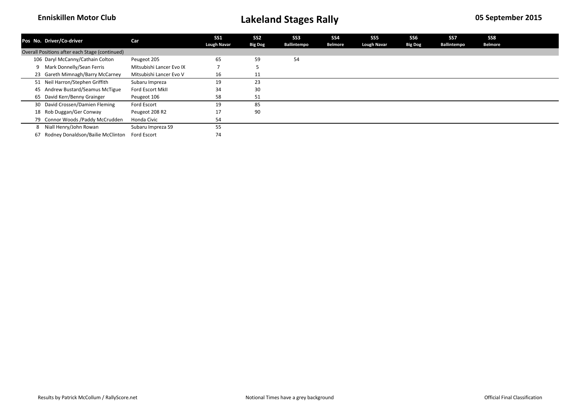|    | Pos No. Driver/Co-driver                       | Car                      | <b>SS1</b>         | SS <sub>2</sub> | SS <sub>3</sub> | SS <sub>4</sub> | SS5                | SS6            | SS7         | SS8            |  |
|----|------------------------------------------------|--------------------------|--------------------|-----------------|-----------------|-----------------|--------------------|----------------|-------------|----------------|--|
|    |                                                |                          | <b>Lough Navar</b> | <b>Big Dog</b>  | Ballintempo     | <b>Belmore</b>  | <b>Lough Navar</b> | <b>Big Dog</b> | Ballintempo | <b>Belmore</b> |  |
|    | Overall Positions after each Stage (continued) |                          |                    |                 |                 |                 |                    |                |             |                |  |
|    | 106 Daryl McCanny/Cathain Colton               | Peugeot 205              | 65                 | 59              | 54              |                 |                    |                |             |                |  |
|    | Mark Donnelly/Sean Ferris                      | Mitsubishi Lancer Evo IX |                    |                 |                 |                 |                    |                |             |                |  |
|    | 23 Gareth Mimnagh/Barry McCarney               | Mitsubishi Lancer Evo V  | 16                 | 11              |                 |                 |                    |                |             |                |  |
|    | 51 Neil Harron/Stephen Griffith                | Subaru Impreza           | 19                 | 23              |                 |                 |                    |                |             |                |  |
|    | 45 Andrew Bustard/Seamus McTigue               | Ford Escort MkII         | 34                 | 30              |                 |                 |                    |                |             |                |  |
|    | 65 David Kerr/Benny Grainger                   | Peugeot 106              | 58                 | 51              |                 |                 |                    |                |             |                |  |
|    | 30 David Crossen/Damien Fleming                | Ford Escort              | 19                 | 85              |                 |                 |                    |                |             |                |  |
|    | 18 Rob Duggan/Ger Conway                       | Peugeot 208 R2           | 17                 | 90              |                 |                 |                    |                |             |                |  |
|    | 79 Connor Woods / Paddy McCrudden              | Honda Civic              | 54                 |                 |                 |                 |                    |                |             |                |  |
| 8  | Niall Henry/John Rowan                         | Subaru Impreza S9        | 55                 |                 |                 |                 |                    |                |             |                |  |
| 67 | Rodney Donaldson/Bailie McClinton              | Ford Escort              | 74                 |                 |                 |                 |                    |                |             |                |  |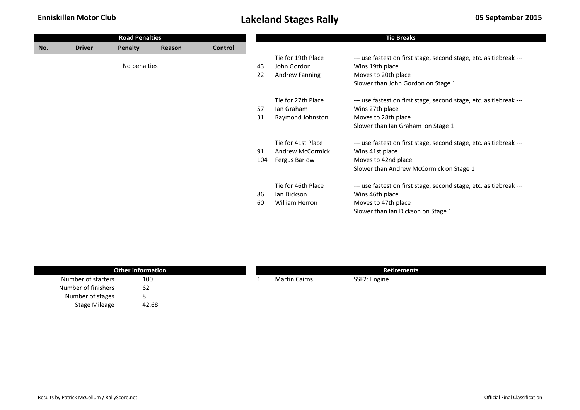|     |               | <b>Road Penalties</b> |        |         |     |                      | <b>Tie Breaks</b>                                                  |
|-----|---------------|-----------------------|--------|---------|-----|----------------------|--------------------------------------------------------------------|
| No. | <b>Driver</b> | <b>Penalty</b>        | Reason | Control |     |                      |                                                                    |
|     |               |                       |        |         |     | Tie for 19th Place   | --- use fastest on first stage, second stage, etc. as tiebreak --- |
|     |               | No penalties          |        |         | 43  | John Gordon          | Wins 19th place                                                    |
|     |               |                       |        |         | 22  | Andrew Fanning       | Moves to 20th place                                                |
|     |               |                       |        |         |     |                      | Slower than John Gordon on Stage 1                                 |
|     |               |                       |        |         |     | Tie for 27th Place   | --- use fastest on first stage, second stage, etc. as tiebreak --- |
|     |               |                       |        |         | 57  | Ian Graham           | Wins 27th place                                                    |
|     |               |                       |        |         | 31  | Raymond Johnston     | Moves to 28th place                                                |
|     |               |                       |        |         |     |                      | Slower than Ian Graham on Stage 1                                  |
|     |               |                       |        |         |     | Tie for 41st Place   | --- use fastest on first stage, second stage, etc. as tiebreak --- |
|     |               |                       |        |         | 91  | Andrew McCormick     | Wins 41st place                                                    |
|     |               |                       |        |         | 104 | <b>Fergus Barlow</b> | Moves to 42nd place                                                |
|     |               |                       |        |         |     |                      | Slower than Andrew McCormick on Stage 1                            |
|     |               |                       |        |         |     | Tie for 46th Place   | --- use fastest on first stage, second stage, etc. as tiebreak --- |
|     |               |                       |        |         | 86  | lan Dickson          | Wins 46th place                                                    |
|     |               |                       |        |         | 60  | William Herron       | Moves to 47th place                                                |
|     |               |                       |        |         |     |                      | Slower than Ian Dickson on Stage 1                                 |

| <b>Other information</b> |       |  | <b>Retirements</b>   |              |  |  |  |  |
|--------------------------|-------|--|----------------------|--------------|--|--|--|--|
| Number of starters       | 100   |  | <b>Martin Cairns</b> | SSF2: Engine |  |  |  |  |
| Number of finishers      | 62    |  |                      |              |  |  |  |  |
| Number of stages         | o     |  |                      |              |  |  |  |  |
| <b>Stage Mileage</b>     | 42.68 |  |                      |              |  |  |  |  |